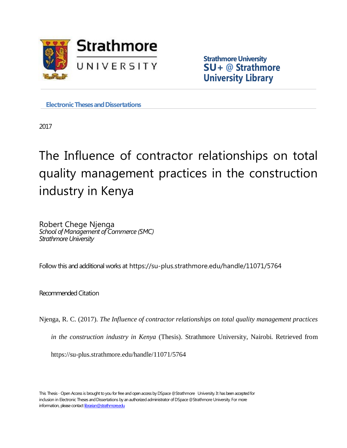

**Strathmore University SU+ @ Strathmore University Library**

**Electronic Theses and Dissertations** 

2017

# The Influence of contractor relationships on total quality management practices in the construction industry in Kenya

Robert Chege Njenga *School of Management of Commerce (SMC) Strathmore University*

Follow this and additional works at https://su-plus.strathmore.edu/handle/11071/5764

Recommended Citation

Njenga, R. C. (2017). *The Influence of contractor relationships on total quality management practices* 

*in the construction industry in Kenya* (Thesis). Strathmore University, Nairobi. Retrieved from

https://su-plus.strathmore.edu/handle/11071/5764

This Thesis - Open Access is brought to you for free and open access by DSpace @Strathmore University. It has been accepted for inclusion in Electronic Theses and Dissertations by an authorized administrator of DSpace @Strathmore University. For more information, please contact librarian@strathmore.edu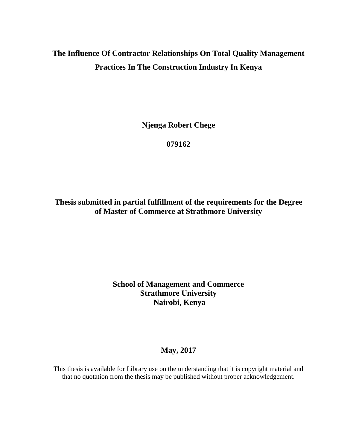## **The Influence Of Contractor Relationships On Total Quality Management Practices In The Construction Industry In Kenya**

**Njenga Robert Chege**

**079162**

**Thesis submitted in partial fulfillment of the requirements for the Degree of Master of Commerce at Strathmore University**

## **School of Management and Commerce Strathmore University Nairobi, Kenya**

## **May, 2017**

This thesis is available for Library use on the understanding that it is copyright material and that no quotation from the thesis may be published without proper acknowledgement.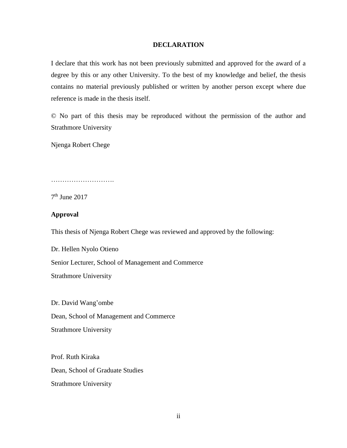#### **DECLARATION**

<span id="page-2-0"></span>I declare that this work has not been previously submitted and approved for the award of a degree by this or any other University. To the best of my knowledge and belief, the thesis contains no material previously published or written by another person except where due reference is made in the thesis itself.

© No part of this thesis may be reproduced without the permission of the author and Strathmore University

Njenga Robert Chege

………………………………

7 th June 2017

#### **Approval**

This thesis of Njenga Robert Chege was reviewed and approved by the following:

Dr. Hellen Nyolo Otieno Senior Lecturer, School of Management and Commerce Strathmore University

Dr. David Wang'ombe Dean, School of Management and Commerce Strathmore University

Prof. Ruth Kiraka Dean, School of Graduate Studies Strathmore University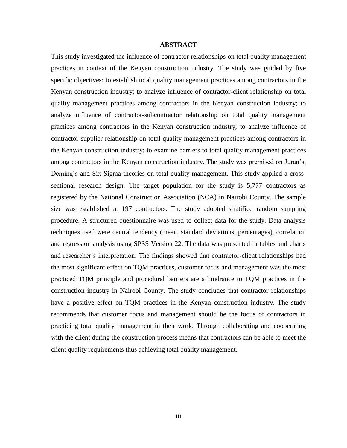#### **ABSTRACT**

This study investigated the influence of contractor relationships on total quality management practices in context of the Kenyan construction industry. The study was guided by five specific objectives: to establish total quality management practices among contractors in the Kenyan construction industry; to analyze influence of contractor-client relationship on total quality management practices among contractors in the Kenyan construction industry; to analyze influence of contractor-subcontractor relationship on total quality management practices among contractors in the Kenyan construction industry; to analyze influence of contractor-supplier relationship on total quality management practices among contractors in the Kenyan construction industry; to examine barriers to total quality management practices among contractors in the Kenyan construction industry. The study was premised on Juran's, Deming's and Six Sigma theories on total quality management. This study applied a crosssectional research design. The target population for the study is 5,777 contractors as registered by the National Construction Association (NCA) in Nairobi County. The sample size was established at 197 contractors. The study adopted stratified random sampling procedure. A structured questionnaire was used to collect data for the study. Data analysis techniques used were central tendency (mean, standard deviations, percentages), correlation and regression analysis using SPSS Version 22. The data was presented in tables and charts and researcher's interpretation. The findings showed that contractor-client relationships had the most significant effect on TQM practices, customer focus and management was the most practiced TQM principle and procedural barriers are a hindrance to TQM practices in the construction industry in Nairobi County. The study concludes that contractor relationships have a positive effect on TQM practices in the Kenyan construction industry. The study recommends that customer focus and management should be the focus of contractors in practicing total quality management in their work. Through collaborating and cooperating with the client during the construction process means that contractors can be able to meet the client quality requirements thus achieving total quality management.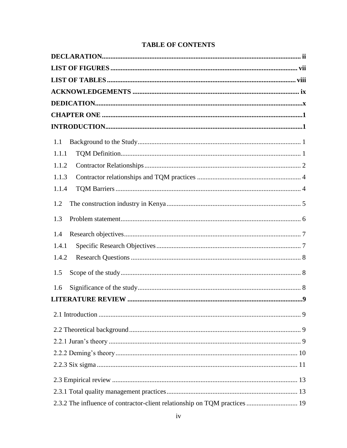| 1.1                                                                        |  |
|----------------------------------------------------------------------------|--|
| 1.1.1                                                                      |  |
| 1.1.2                                                                      |  |
| 1.1.3                                                                      |  |
| 1.1.4                                                                      |  |
| 1.2                                                                        |  |
| 1.3                                                                        |  |
| 1.4                                                                        |  |
| 1.4.1                                                                      |  |
| 1.4.2                                                                      |  |
| 1.5                                                                        |  |
| 1.6                                                                        |  |
|                                                                            |  |
|                                                                            |  |
|                                                                            |  |
|                                                                            |  |
|                                                                            |  |
|                                                                            |  |
|                                                                            |  |
|                                                                            |  |
| 2.3.2 The influence of contractor-client relationship on TQM practices  19 |  |

## **TABLE OF CONTENTS**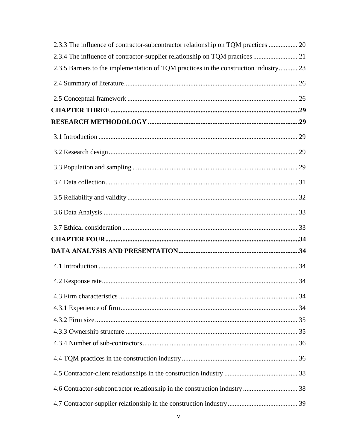| 2.3.3 The influence of contractor-subcontractor relationship on TQM practices  20     |  |
|---------------------------------------------------------------------------------------|--|
| 2.3.4 The influence of contractor-supplier relationship on TQM practices  21          |  |
| 2.3.5 Barriers to the implementation of TQM practices in the construction industry 23 |  |
|                                                                                       |  |
|                                                                                       |  |
|                                                                                       |  |
|                                                                                       |  |
|                                                                                       |  |
|                                                                                       |  |
|                                                                                       |  |
|                                                                                       |  |
|                                                                                       |  |
|                                                                                       |  |
|                                                                                       |  |
|                                                                                       |  |
|                                                                                       |  |
|                                                                                       |  |
|                                                                                       |  |
|                                                                                       |  |
|                                                                                       |  |
|                                                                                       |  |
|                                                                                       |  |
|                                                                                       |  |
|                                                                                       |  |
|                                                                                       |  |
|                                                                                       |  |
|                                                                                       |  |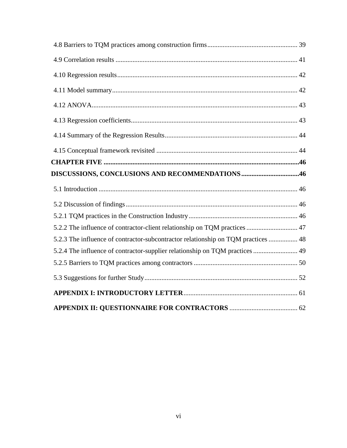| DISCUSSIONS, CONCLUSIONS AND RECOMMENDATIONS 46                                   |  |
|-----------------------------------------------------------------------------------|--|
|                                                                                   |  |
|                                                                                   |  |
|                                                                                   |  |
| 5.2.2 The influence of contractor-client relationship on TQM practices  47        |  |
| 5.2.3 The influence of contractor-subcontractor relationship on TQM practices  48 |  |
| 5.2.4 The influence of contractor-supplier relationship on TQM practices  49      |  |
|                                                                                   |  |
|                                                                                   |  |
|                                                                                   |  |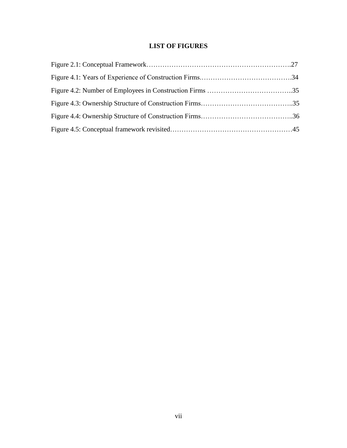## **LIST OF FIGURES**

<span id="page-7-0"></span>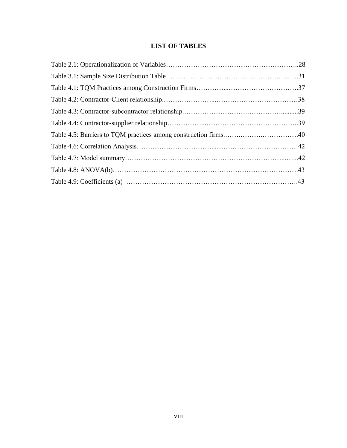## **LIST OF TABLES**

<span id="page-8-0"></span>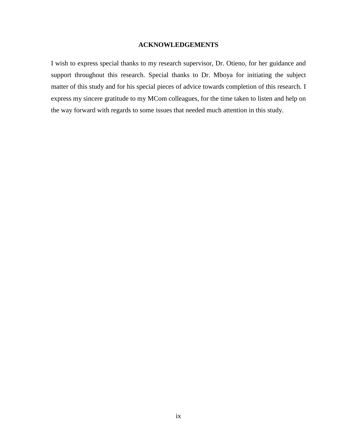#### **ACKNOWLEDGEMENTS**

<span id="page-9-0"></span>I wish to express special thanks to my research supervisor, Dr. Otieno, for her guidance and support throughout this research. Special thanks to Dr. Mboya for initiating the subject matter of this study and for his special pieces of advice towards completion of this research. I express my sincere gratitude to my MCom colleagues, for the time taken to listen and help on the way forward with regards to some issues that needed much attention in this study.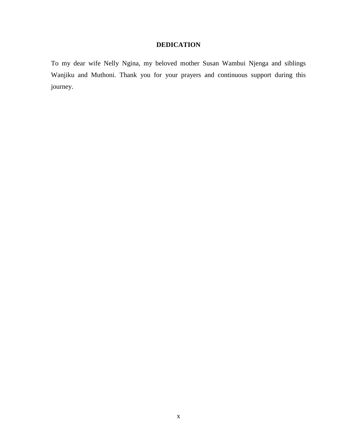## **DEDICATION**

<span id="page-10-0"></span>To my dear wife Nelly Ngina, my beloved mother Susan Wambui Njenga and siblings Wanjiku and Muthoni. Thank you for your prayers and continuous support during this journey.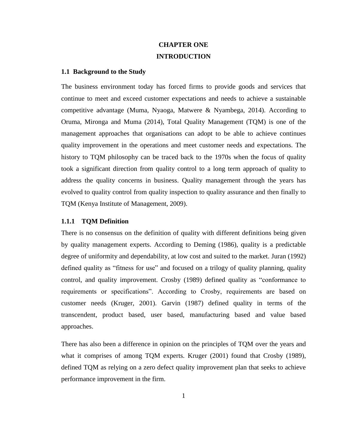## **CHAPTER ONE INTRODUCTION**

#### <span id="page-11-2"></span><span id="page-11-1"></span><span id="page-11-0"></span>**1.1 Background to the Study**

The business environment today has forced firms to provide goods and services that continue to meet and exceed customer expectations and needs to achieve a sustainable competitive advantage (Muma, Nyaoga, Matwere & Nyambega, 2014). According to Oruma, Mironga and Muma (2014), Total Quality Management (TQM) is one of the management approaches that organisations can adopt to be able to achieve continues quality improvement in the operations and meet customer needs and expectations. The history to TQM philosophy can be traced back to the 1970s when the focus of quality took a significant direction from quality control to a long term approach of quality to address the quality concerns in business. Quality management through the years has evolved to quality control from quality inspection to quality assurance and then finally to TQM (Kenya Institute of Management, 2009).

#### <span id="page-11-3"></span>**1.1.1 TQM Definition**

There is no consensus on the definition of quality with different definitions being given by quality management experts. According to Deming (1986), quality is a predictable degree of uniformity and dependability, at low cost and suited to the market. Juran (1992) defined quality as "fitness for use" and focused on a trilogy of quality planning, quality control, and quality improvement. Crosby (1989) defined quality as "conformance to requirements or specifications". According to Crosby, requirements are based on customer needs (Kruger, 2001). Garvin (1987) defined quality in terms of the transcendent, product based, user based, manufacturing based and value based approaches.

There has also been a difference in opinion on the principles of TQM over the years and what it comprises of among TQM experts. Kruger (2001) found that Crosby (1989), defined TQM as relying on a zero defect quality improvement plan that seeks to achieve performance improvement in the firm.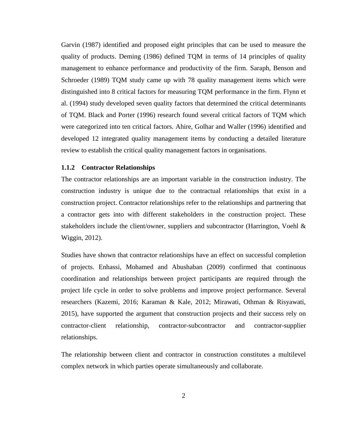Garvin (1987) identified and proposed eight principles that can be used to measure the quality of products. Deming (1986) defined TQM in terms of 14 principles of quality management to enhance performance and productivity of the firm. Saraph, Benson and Schroeder (1989) TQM study came up with 78 quality management items which were distinguished into 8 critical factors for measuring TQM performance in the firm. Flynn et al. (1994) study developed seven quality factors that determined the critical determinants of TQM. Black and Porter (1996) research found several critical factors of TQM which were categorized into ten critical factors. Ahire, Golhar and Waller (1996) identified and developed 12 integrated quality management items by conducting a detailed literature review to establish the critical quality management factors in organisations.

#### <span id="page-12-0"></span>**1.1.2 Contractor Relationships**

The contractor relationships are an important variable in the construction industry. The construction industry is unique due to the contractual relationships that exist in a construction project. Contractor relationships refer to the relationships and partnering that a contractor gets into with different stakeholders in the construction project. These stakeholders include the client/owner, suppliers and subcontractor (Harrington, Voehl  $\&$ Wiggin, 2012).

Studies have shown that contractor relationships have an effect on successful completion of projects. Enhassi, Mohamed and Abushaban (2009) confirmed that continuous coordination and relationships between project participants are required through the project life cycle in order to solve problems and improve project performance. Several researchers (Kazemi, 2016; Karaman & Kale, 2012; Mirawati, Othman & Risyawati, 2015), have supported the argument that construction projects and their success rely on contractor-client relationship, contractor-subcontractor and contractor-supplier relationships.

The relationship between client and contractor in construction constitutes a multilevel complex network in which parties operate simultaneously and collaborate.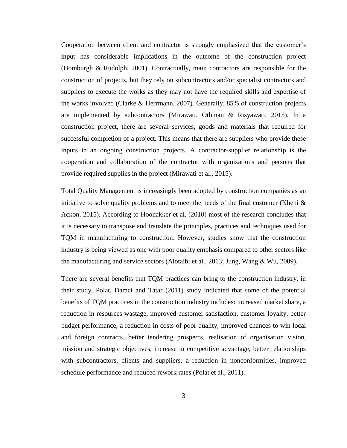Cooperation between client and contractor is strongly emphasized that the customer's input has considerable implications in the outcome of the construction project (Homburgh & Rudolph, 2001). Contractually, main contractors are responsible for the construction of projects, but they rely on subcontractors and/or specialist contractors and suppliers to execute the works as they may not have the required skills and expertise of the works involved (Clarke & Herrmann, 2007). Generally, 85% of construction projects are implemented by subcontractors (Mirawati, Othman & Risyawati, 2015). In a construction project, there are several services, goods and materials that required for successful completion of a project. This means that there are suppliers who provide these inputs in an ongoing construction projects. A contractor-supplier relationship is the cooperation and collaboration of the contractor with organizations and persons that provide required supplies in the project (Mirawati et al., 2015).

Total Quality Management is increasingly been adopted by construction companies as an initiative to solve quality problems and to meet the needs of the final customer (Kheni  $\&$ Ackon, 2015). According to Hoonakker et al. (2010) most of the research concludes that it is necessary to transpose and translate the principles, practices and techniques used for TQM in manufacturing to construction. However, studies show that the construction industry is being viewed as one with poor quality emphasis compared to other sectors like the manufacturing and service sectors (Alotaibi et al., 2013; Jung, Wang & Wu, 2009).

There are several benefits that TQM practices can bring to the construction industry, in their study, Polat, Damci and Tatar (2011) study indicated that some of the potential benefits of TQM practices in the construction industry includes: increased market share, a reduction in resources wastage, improved customer satisfaction, customer loyalty, better budget performance, a reduction in costs of poor quality, improved chances to win local and foreign contracts, better tendering prospects, realisation of organisation vision, mission and strategic objectives, increase in competitive advantage, better relationships with subcontractors, clients and suppliers, a reduction in nonconformities, improved schedule performance and reduced rework rates (Polat et al., 2011).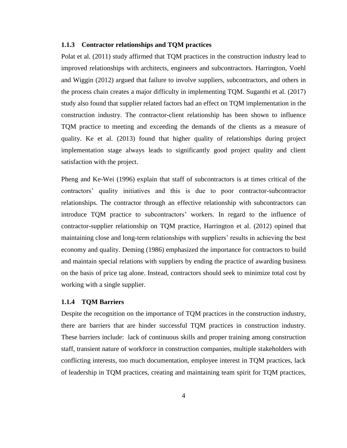#### <span id="page-14-0"></span>**1.1.3 Contractor relationships and TQM practices**

Polat et al. (2011) study affirmed that TQM practices in the construction industry lead to improved relationships with architects, engineers and subcontractors. Harrington, Voehl and Wiggin (2012) argued that failure to involve suppliers, subcontractors, and others in the process chain creates a major difficulty in implementing TQM. Suganthi et al. (2017) study also found that supplier related factors had an effect on TQM implementation in the construction industry. The contractor-client relationship has been shown to influence TQM practice to meeting and exceeding the demands of the clients as a measure of quality. Ke et al. (2013) found that higher quality of relationships during project implementation stage always leads to significantly good project quality and client satisfaction with the project.

Pheng and Ke-Wei (1996) explain that staff of subcontractors is at times critical of the contractors' quality initiatives and this is due to poor contractor-subcontractor relationships. The contractor through an effective relationship with subcontractors can introduce TQM practice to subcontractors' workers. In regard to the influence of contractor-supplier relationship on TQM practice, Harrington et al. (2012) opined that maintaining close and long-term relationships with suppliers' results in achieving the best economy and quality. Deming (1986) emphasized the importance for contractors to build and maintain special relations with suppliers by ending the practice of awarding business on the basis of price tag alone. Instead, contractors should seek to minimize total cost by working with a single supplier.

#### <span id="page-14-1"></span>**1.1.4 TQM Barriers**

Despite the recognition on the importance of TQM practices in the construction industry, there are barriers that are hinder successful TQM practices in construction industry. These barriers include: lack of continuous skills and proper training among construction staff, transient nature of workforce in construction companies, multiple stakeholders with conflicting interests, too much documentation, employee interest in TQM practices, lack of leadership in TQM practices, creating and maintaining team spirit for TQM practices,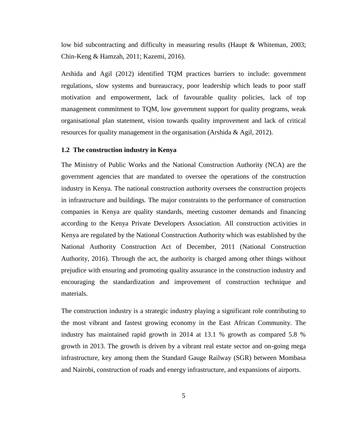low bid subcontracting and difficulty in measuring results (Haupt & Whiteman, 2003; Chin-Keng & Hamzah, 2011; Kazemi, 2016).

Arshida and Agil (2012) identified TQM practices barriers to include: government regulations, slow systems and bureaucracy, poor leadership which leads to poor staff motivation and empowerment, lack of favourable quality policies, lack of top management commitment to TQM, low government support for quality programs, weak organisational plan statement, vision towards quality improvement and lack of critical resources for quality management in the organisation (Arshida & Agil, 2012).

#### <span id="page-15-0"></span>**1.2 The construction industry in Kenya**

The Ministry of Public Works and the National Construction Authority (NCA) are the government agencies that are mandated to oversee the operations of the construction industry in Kenya. The national construction authority oversees the construction projects in infrastructure and buildings. The major constraints to the performance of construction companies in Kenya are quality standards, meeting customer demands and financing according to the Kenya Private Developers Association. All construction activities in Kenya are regulated by the National Construction Authority which was established by the National Authority Construction Act of December, 2011 (National Construction Authority, 2016). Through the act, the authority is charged among other things without prejudice with ensuring and promoting quality assurance in the construction industry and encouraging the standardization and improvement of construction technique and materials.

The construction industry is a strategic industry playing a significant role contributing to the most vibrant and fastest growing economy in the East African Community. The industry has maintained rapid growth in 2014 at 13.1 % growth as compared 5.8 % growth in 2013. The growth is driven by a vibrant real estate sector and on-going mega infrastructure, key among them the Standard Gauge Railway (SGR) between Mombasa and Nairobi, construction of roads and energy infrastructure, and expansions of airports.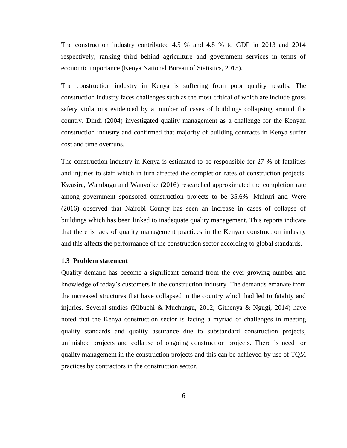The construction industry contributed 4.5 % and 4.8 % to GDP in 2013 and 2014 respectively, ranking third behind agriculture and government services in terms of economic importance (Kenya National Bureau of Statistics, 2015).

The construction industry in Kenya is suffering from poor quality results. The construction industry faces challenges such as the most critical of which are include gross safety violations evidenced by a number of cases of buildings collapsing around the country. Dindi (2004) investigated quality management as a challenge for the Kenyan construction industry and confirmed that majority of building contracts in Kenya suffer cost and time overruns.

The construction industry in Kenya is estimated to be responsible for 27 % of fatalities and injuries to staff which in turn affected the completion rates of construction projects. Kwasira, Wambugu and Wanyoike (2016) researched approximated the completion rate among government sponsored construction projects to be 35.6%. Muiruri and Were (2016) observed that Nairobi County has seen an increase in cases of collapse of buildings which has been linked to inadequate quality management. This reports indicate that there is lack of quality management practices in the Kenyan construction industry and this affects the performance of the construction sector according to global standards.

#### <span id="page-16-0"></span>**1.3 Problem statement**

Quality demand has become a significant demand from the ever growing number and knowledge of today's customers in the construction industry. The demands emanate from the increased structures that have collapsed in the country which had led to fatality and injuries. Several studies (Kibuchi & Muchungu, 2012; Githenya & Ngugi, 2014) have noted that the Kenya construction sector is facing a myriad of challenges in meeting quality standards and quality assurance due to substandard construction projects, unfinished projects and collapse of ongoing construction projects. There is need for quality management in the construction projects and this can be achieved by use of TQM practices by contractors in the construction sector.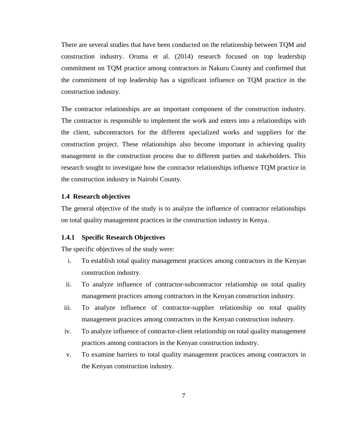There are several studies that have been conducted on the relationship between TQM and construction industry. Oruma et al. (2014) research focused on top leadership commitment on TQM practice among contractors in Nakuru County and confirmed that the commitment of top leadership has a significant influence on TQM practice in the construction industry.

The contractor relationships are an important component of the construction industry. The contractor is responsible to implement the work and enters into a relationships with the client, subcontractors for the different specialized works and suppliers for the construction project. These relationships also become important in achieving quality management in the construction process due to different parties and stakeholders. This research sought to investigate how the contractor relationships influence TQM practice in the construction industry in Nairobi County.

#### <span id="page-17-0"></span>**1.4 Research objectives**

The general objective of the study is to analyze the influence of contractor relationships on total quality management practices in the construction industry in Kenya.

#### <span id="page-17-1"></span>**1.4.1 Specific Research Objectives**

The specific objectives of the study were:

- i. To establish total quality management practices among contractors in the Kenyan construction industry.
- ii. To analyze influence of contractor-subcontractor relationship on total quality management practices among contractors in the Kenyan construction industry.
- iii. To analyze influence of contractor-supplier relationship on total quality management practices among contractors in the Kenyan construction industry.
- iv. To analyze influence of contractor-client relationship on total quality management practices among contractors in the Kenyan construction industry.
- v. To examine barriers to total quality management practices among contractors in the Kenyan construction industry.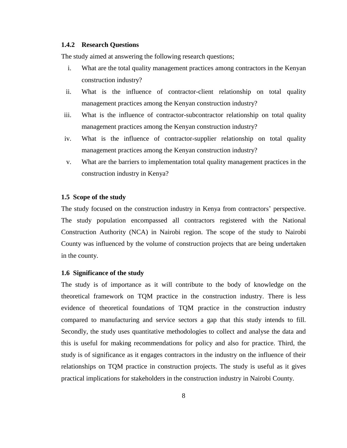#### <span id="page-18-0"></span>**1.4.2 Research Questions**

The study aimed at answering the following research questions;

- i. What are the total quality management practices among contractors in the Kenyan construction industry?
- ii. What is the influence of contractor-client relationship on total quality management practices among the Kenyan construction industry?
- iii. What is the influence of contractor-subcontractor relationship on total quality management practices among the Kenyan construction industry?
- iv. What is the influence of contractor-supplier relationship on total quality management practices among the Kenyan construction industry?
- v. What are the barriers to implementation total quality management practices in the construction industry in Kenya?

#### <span id="page-18-1"></span>**1.5 Scope of the study**

The study focused on the construction industry in Kenya from contractors' perspective. The study population encompassed all contractors registered with the National Construction Authority (NCA) in Nairobi region. The scope of the study to Nairobi County was influenced by the volume of construction projects that are being undertaken in the county.

#### <span id="page-18-2"></span>**1.6 Significance of the study**

The study is of importance as it will contribute to the body of knowledge on the theoretical framework on TQM practice in the construction industry. There is less evidence of theoretical foundations of TQM practice in the construction industry compared to manufacturing and service sectors a gap that this study intends to fill. Secondly, the study uses quantitative methodologies to collect and analyse the data and this is useful for making recommendations for policy and also for practice. Third, the study is of significance as it engages contractors in the industry on the influence of their relationships on TQM practice in construction projects. The study is useful as it gives practical implications for stakeholders in the construction industry in Nairobi County.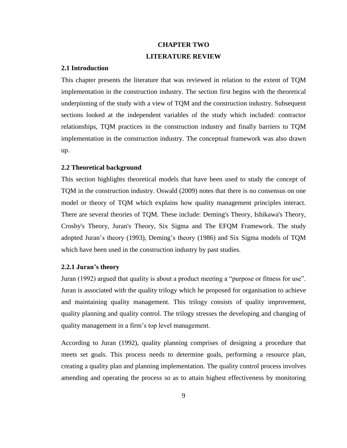## **CHAPTER TWO LITERATURE REVIEW**

#### <span id="page-19-1"></span><span id="page-19-0"></span>**2.1 Introduction**

This chapter presents the literature that was reviewed in relation to the extent of TQM implementation in the construction industry. The section first begins with the theoretical underpinning of the study with a view of TQM and the construction industry. Subsequent sections looked at the independent variables of the study which included: contractor relationships, TQM practices in the construction industry and finally barriers to TQM implementation in the construction industry. The conceptual framework was also drawn up.

#### <span id="page-19-2"></span>**2.2 Theoretical background**

This section highlights theoretical models that have been used to study the concept of TQM in the construction industry. Oswald (2009) notes that there is no consensus on one model or theory of TQM which explains how quality management principles interact. There are several theories of TQM. These include: Deming's Theory, Ishikawa's Theory, Crosby's Theory, Juran's Theory, Six Sigma and The EFQM Framework. The study adopted Juran's theory (1993), Deming's theory (1986) and Six Sigma models of TQM which have been used in the construction industry by past studies.

#### <span id="page-19-3"></span>**2.2.1 Juran's theory**

Juran (1992) argued that quality is about a product meeting a "purpose or fitness for use". Juran is associated with the quality trilogy which he proposed for organisation to achieve and maintaining quality management. This trilogy consists of quality improvement, quality planning and quality control. The trilogy stresses the developing and changing of quality management in a firm's top level management.

According to Juran (1992), quality planning comprises of designing a procedure that meets set goals. This process needs to determine goals, performing a resource plan, creating a quality plan and planning implementation. The quality control process involves amending and operating the process so as to attain highest effectiveness by monitoring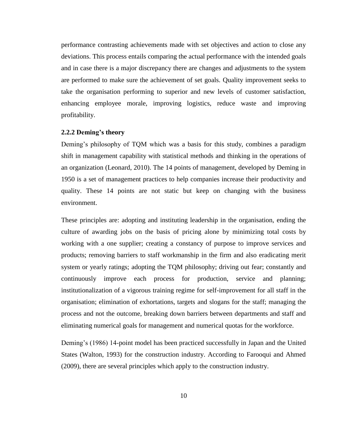performance contrasting achievements made with set objectives and action to close any deviations. This process entails comparing the actual performance with the intended goals and in case there is a major discrepancy there are changes and adjustments to the system are performed to make sure the achievement of set goals. Quality improvement seeks to take the organisation performing to superior and new levels of customer satisfaction, enhancing employee morale, improving logistics, reduce waste and improving profitability.

#### <span id="page-20-0"></span>**2.2.2 Deming's theory**

Deming's philosophy of TQM which was a basis for this study, combines a paradigm shift in management capability with statistical methods and thinking in the operations of an organization (Leonard, 2010). The 14 points of management, developed by Deming in 1950 is a set of management practices to help companies increase their productivity and quality. These 14 points are not static but keep on changing with the business environment.

These principles are: adopting and instituting leadership in the organisation, ending the culture of awarding jobs on the basis of pricing alone by minimizing total costs by working with a one supplier; creating a constancy of purpose to improve services and products; removing barriers to staff workmanship in the firm and also eradicating merit system or yearly ratings; adopting the TQM philosophy; driving out fear; constantly and continuously improve each process for production, service and planning; institutionalization of a vigorous training regime for self-improvement for all staff in the organisation; elimination of exhortations, targets and slogans for the staff; managing the process and not the outcome, breaking down barriers between departments and staff and eliminating numerical goals for management and numerical quotas for the workforce.

Deming's (1986) 14-point model has been practiced successfully in Japan and the United States (Walton, 1993) for the construction industry. According to Farooqui and Ahmed (2009), there are several principles which apply to the construction industry.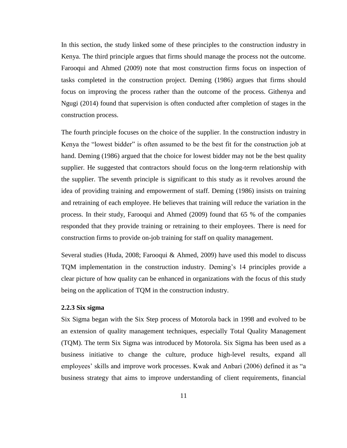In this section, the study linked some of these principles to the construction industry in Kenya. The third principle argues that firms should manage the process not the outcome. Farooqui and Ahmed (2009) note that most construction firms focus on inspection of tasks completed in the construction project. Deming (1986) argues that firms should focus on improving the process rather than the outcome of the process. Githenya and Ngugi (2014) found that supervision is often conducted after completion of stages in the construction process.

The fourth principle focuses on the choice of the supplier. In the construction industry in Kenya the "lowest bidder" is often assumed to be the best fit for the construction job at hand. Deming (1986) argued that the choice for lowest bidder may not be the best quality supplier. He suggested that contractors should focus on the long-term relationship with the supplier. The seventh principle is significant to this study as it revolves around the idea of providing training and empowerment of staff. Deming (1986) insists on training and retraining of each employee. He believes that training will reduce the variation in the process. In their study, Farooqui and Ahmed (2009) found that 65 % of the companies responded that they provide training or retraining to their employees. There is need for construction firms to provide on-job training for staff on quality management.

Several studies (Huda, 2008; Farooqui & Ahmed, 2009) have used this model to discuss TQM implementation in the construction industry. Deming's 14 principles provide a clear picture of how quality can be enhanced in organizations with the focus of this study being on the application of TQM in the construction industry.

#### <span id="page-21-0"></span>**2.2.3 Six sigma**

Six Sigma began with the Six Step process of Motorola back in 1998 and evolved to be an extension of quality management techniques, especially Total Quality Management (TQM). The term Six Sigma was introduced by Motorola. Six Sigma has been used as a business initiative to change the culture, produce high-level results, expand all employees' skills and improve work processes. Kwak and Anbari (2006) defined it as "a business strategy that aims to improve understanding of client requirements, financial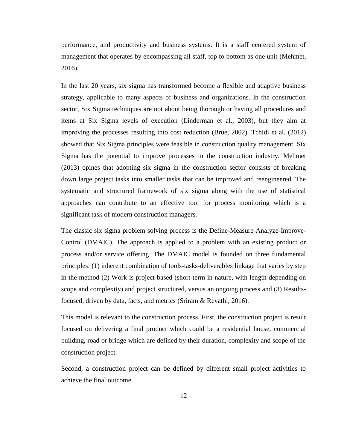performance, and productivity and business systems. It is a staff centered system of management that operates by encompassing all staff, top to bottom as one unit (Mehmet, 2016).

In the last 20 years, six sigma has transformed become a flexible and adaptive business strategy, applicable to many aspects of business and organizations. In the construction sector, Six Sigma techniques are not about being thorough or having all procedures and items at Six Sigma levels of execution (Linderman et al., 2003), but they aim at improving the processes resulting into cost reduction (Brue, 2002). Tchidi et al. (2012) showed that Six Sigma principles were feasible in construction quality management. Six Sigma has the potential to improve processes in the construction industry. Mehmet (2013) opines that adopting six sigma in the construction sector consists of breaking down large project tasks into smaller tasks that can be improved and reengineered. The systematic and structured framework of six sigma along with the use of statistical approaches can contribute to an effective tool for process monitoring which is a significant task of modern construction managers.

The classic six sigma problem solving process is the Define-Measure-Analyze-Improve-Control (DMAIC). The approach is applied to a problem with an existing product or process and/or service offering. The DMAIC model is founded on three fundamental principles: (1) inherent combination of tools-tasks-deliverables linkage that varies by step in the method (2) Work is project-based (short-term in nature, with length depending on scope and complexity) and project structured, versus an ongoing process and (3) Resultsfocused, driven by data, facts, and metrics (Sriram & Revathi, 2016).

This model is relevant to the construction process. First, the construction project is result focused on delivering a final product which could be a residential house, commercial building, road or bridge which are defined by their duration, complexity and scope of the construction project.

Second, a construction project can be defined by different small project activities to achieve the final outcome.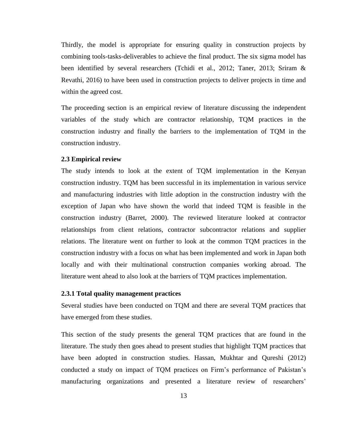Thirdly, the model is appropriate for ensuring quality in construction projects by combining tools-tasks-deliverables to achieve the final product. The six sigma model has been identified by several researchers (Tchidi et al., 2012; Taner, 2013; Sriram & Revathi, 2016) to have been used in construction projects to deliver projects in time and within the agreed cost.

The proceeding section is an empirical review of literature discussing the independent variables of the study which are contractor relationship, TQM practices in the construction industry and finally the barriers to the implementation of TQM in the construction industry.

#### <span id="page-23-0"></span>**2.3 Empirical review**

The study intends to look at the extent of TQM implementation in the Kenyan construction industry. TQM has been successful in its implementation in various service and manufacturing industries with little adoption in the construction industry with the exception of Japan who have shown the world that indeed TQM is feasible in the construction industry (Barret, 2000). The reviewed literature looked at contractor relationships from client relations, contractor subcontractor relations and supplier relations. The literature went on further to look at the common TQM practices in the construction industry with a focus on what has been implemented and work in Japan both locally and with their multinational construction companies working abroad. The literature went ahead to also look at the barriers of TQM practices implementation.

#### <span id="page-23-1"></span>**2.3.1 Total quality management practices**

Several studies have been conducted on TQM and there are several TQM practices that have emerged from these studies.

This section of the study presents the general TQM practices that are found in the literature. The study then goes ahead to present studies that highlight TQM practices that have been adopted in construction studies. Hassan, Mukhtar and Qureshi (2012) conducted a study on impact of TQM practices on Firm's performance of Pakistan's manufacturing organizations and presented a literature review of researchers'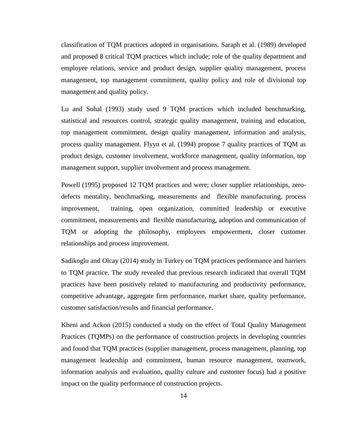classification of TQM practices adopted in organisations. Saraph et al. (1989) developed and proposed 8 critical TQM practices which include; role of the quality department and employee relations, service and product design, supplier quality management, process management, top management commitment, quality policy and role of divisional top management and quality policy.

Lu and Sohal (1993) study used 9 TQM practices which included benchmarking, statistical and resources control, strategic quality management, training and education, top management commitment, design quality management, information and analysis, process quality management. Flyyn et al. (1994) propose 7 quality practices of TQM as product design, customer involvement, workforce management, quality information, top management support, supplier involvement and process management.

Powell (1995) proposed 12 TQM practices and were; closer supplier relationships, zerodefects mentality, benchmarking, measurements and flexible manufacturing, process improvement, training, open organization, committed leadership or executive commitment, measurements and flexible manufacturing, adoption and communication of TQM or adopting the philosophy, employees empowerment, closer customer relationships and process improvement.

Sadikoglu and Olcay (2014) study in Turkey on TQM practices performance and barriers to TQM practice. The study revealed that previous research indicated that overall TQM practices have been positively related to manufacturing and productivity performance, competitive advantage, aggregate firm performance, market share, quality performance, customer satisfaction/results and financial performance.

Kheni and Ackon (2015) conducted a study on the effect of Total Quality Management Practices (TQMPs) on the performance of construction projects in developing countries and found that TQM practices (supplier management, process management, planning, top management leadership and commitment, human resource management, teamwork, information analysis and evaluation, quality culture and customer focus) had a positive impact on the quality performance of construction projects.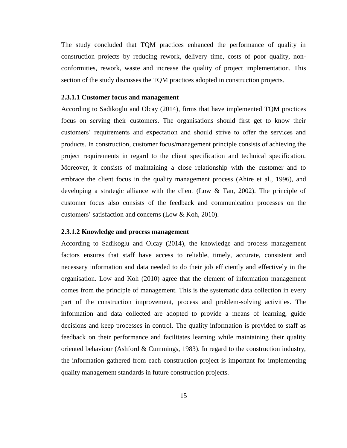The study concluded that TQM practices enhanced the performance of quality in construction projects by reducing rework, delivery time, costs of poor quality, nonconformities, rework, waste and increase the quality of project implementation. This section of the study discusses the TQM practices adopted in construction projects.

#### **2.3.1.1 Customer focus and management**

According to Sadikoglu and Olcay (2014), firms that have implemented TQM practices focus on serving their customers. The organisations should first get to know their customers' requirements and expectation and should strive to offer the services and products. In construction, customer focus/management principle consists of achieving the project requirements in regard to the client specification and technical specification. Moreover, it consists of maintaining a close relationship with the customer and to embrace the client focus in the quality management process (Ahire et al., 1996), and developing a strategic alliance with the client (Low & Tan, 2002). The principle of customer focus also consists of the feedback and communication processes on the customers' satisfaction and concerns (Low & Koh, 2010).

#### **2.3.1.2 Knowledge and process management**

According to Sadikoglu and Olcay (2014), the knowledge and process management factors ensures that staff have access to reliable, timely, accurate, consistent and necessary information and data needed to do their job efficiently and effectively in the organisation. Low and Koh (2010) agree that the element of information management comes from the principle of management. This is the systematic data collection in every part of the construction improvement, process and problem-solving activities. The information and data collected are adopted to provide a means of learning, guide decisions and keep processes in control. The quality information is provided to staff as feedback on their performance and facilitates learning while maintaining their quality oriented behaviour (Ashford & Cummings, 1983). In regard to the construction industry, the information gathered from each construction project is important for implementing quality management standards in future construction projects.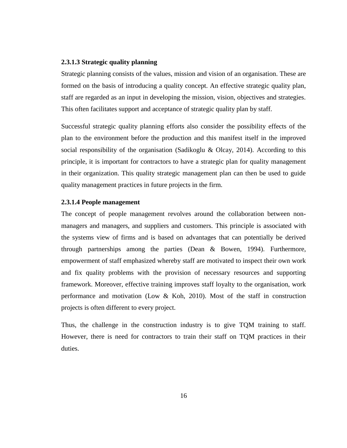#### **2.3.1.3 Strategic quality planning**

Strategic planning consists of the values, mission and vision of an organisation. These are formed on the basis of introducing a quality concept. An effective strategic quality plan, staff are regarded as an input in developing the mission, vision, objectives and strategies. This often facilitates support and acceptance of strategic quality plan by staff.

Successful strategic quality planning efforts also consider the possibility effects of the plan to the environment before the production and this manifest itself in the improved social responsibility of the organisation (Sadikoglu & Olcay, 2014). According to this principle, it is important for contractors to have a strategic plan for quality management in their organization. This quality strategic management plan can then be used to guide quality management practices in future projects in the firm.

#### **2.3.1.4 People management**

The concept of people management revolves around the collaboration between nonmanagers and managers, and suppliers and customers. This principle is associated with the systems view of firms and is based on advantages that can potentially be derived through partnerships among the parties (Dean & Bowen, 1994). Furthermore, empowerment of staff emphasized whereby staff are motivated to inspect their own work and fix quality problems with the provision of necessary resources and supporting framework. Moreover, effective training improves staff loyalty to the organisation, work performance and motivation (Low & Koh, 2010). Most of the staff in construction projects is often different to every project.

Thus, the challenge in the construction industry is to give TQM training to staff. However, there is need for contractors to train their staff on TQM practices in their duties.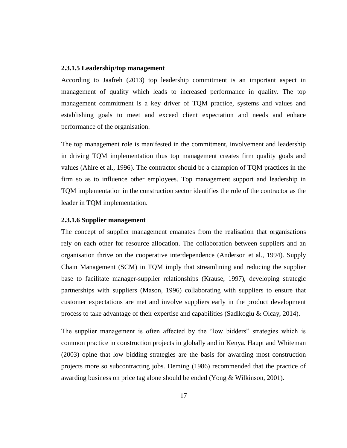#### **2.3.1.5 Leadership/top management**

According to Jaafreh (2013) top leadership commitment is an important aspect in management of quality which leads to increased performance in quality. The top management commitment is a key driver of TQM practice, systems and values and establishing goals to meet and exceed client expectation and needs and enhace performance of the organisation.

The top management role is manifested in the commitment, involvement and leadership in driving TQM implementation thus top management creates firm quality goals and values (Ahire et al., 1996). The contractor should be a champion of TQM practices in the firm so as to influence other employees. Top management support and leadership in TQM implementation in the construction sector identifies the role of the contractor as the leader in TQM implementation.

#### **2.3.1.6 Supplier management**

The concept of supplier management emanates from the realisation that organisations rely on each other for resource allocation. The collaboration between suppliers and an organisation thrive on the cooperative interdependence (Anderson et al., 1994). Supply Chain Management (SCM) in TQM imply that streamlining and reducing the supplier base to facilitate manager-supplier relationships (Krause, 1997), developing strategic partnerships with suppliers (Mason, 1996) collaborating with suppliers to ensure that customer expectations are met and involve suppliers early in the product development process to take advantage of their expertise and capabilities (Sadikoglu & Olcay, 2014).

The supplier management is often affected by the "low bidders" strategies which is common practice in construction projects in globally and in Kenya. Haupt and Whiteman (2003) opine that low bidding strategies are the basis for awarding most construction projects more so subcontracting jobs. Deming (1986) recommended that the practice of awarding business on price tag alone should be ended (Yong & Wilkinson, 2001).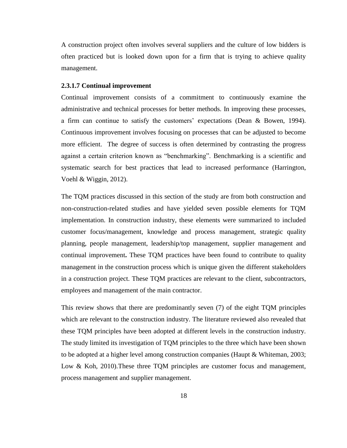A construction project often involves several suppliers and the culture of low bidders is often practiced but is looked down upon for a firm that is trying to achieve quality management.

#### **2.3.1.7 Continual improvement**

Continual improvement consists of a commitment to continuously examine the administrative and technical processes for better methods. In improving these processes, a firm can continue to satisfy the customers' expectations (Dean & Bowen, 1994). Continuous improvement involves focusing on processes that can be adjusted to become more efficient. The degree of success is often determined by contrasting the progress against a certain criterion known as "benchmarking". Benchmarking is a scientific and systematic search for best practices that lead to increased performance (Harrington, Voehl & Wiggin, 2012).

The TQM practices discussed in this section of the study are from both construction and non-construction-related studies and have yielded seven possible elements for TQM implementation. In construction industry, these elements were summarized to included customer focus/management, knowledge and process management, strategic quality planning, people management, leadership/top management, supplier management and continual improvement**.** These TQM practices have been found to contribute to quality management in the construction process which is unique given the different stakeholders in a construction project. These TQM practices are relevant to the client, subcontractors, employees and management of the main contractor.

This review shows that there are predominantly seven (7) of the eight TQM principles which are relevant to the construction industry. The literature reviewed also revealed that these TQM principles have been adopted at different levels in the construction industry. The study limited its investigation of TQM principles to the three which have been shown to be adopted at a higher level among construction companies (Haupt & Whiteman, 2003; Low & Koh, 2010). These three TQM principles are customer focus and management, process management and supplier management.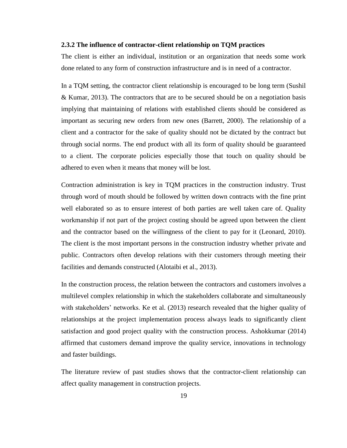#### <span id="page-29-0"></span>**2.3.2 The influence of contractor-client relationship on TQM practices**

The client is either an individual, institution or an organization that needs some work done related to any form of construction infrastructure and is in need of a contractor.

In a TQM setting, the contractor client relationship is encouraged to be long term (Sushil & Kumar, 2013). The contractors that are to be secured should be on a negotiation basis implying that maintaining of relations with established clients should be considered as important as securing new orders from new ones (Barrett, 2000). The relationship of a client and a contractor for the sake of quality should not be dictated by the contract but through social norms. The end product with all its form of quality should be guaranteed to a client. The corporate policies especially those that touch on quality should be adhered to even when it means that money will be lost.

Contraction administration is key in TQM practices in the construction industry. Trust through word of mouth should be followed by written down contracts with the fine print well elaborated so as to ensure interest of both parties are well taken care of. Quality workmanship if not part of the project costing should be agreed upon between the client and the contractor based on the willingness of the client to pay for it (Leonard, 2010). The client is the most important persons in the construction industry whether private and public. Contractors often develop relations with their customers through meeting their facilities and demands constructed (Alotaibi et al., 2013).

In the construction process, the relation between the contractors and customers involves a multilevel complex relationship in which the stakeholders collaborate and simultaneously with stakeholders' networks. Ke et al. (2013) research revealed that the higher quality of relationships at the project implementation process always leads to significantly client satisfaction and good project quality with the construction process. Ashokkumar (2014) affirmed that customers demand improve the quality service, innovations in technology and faster buildings.

The literature review of past studies shows that the contractor-client relationship can affect quality management in construction projects.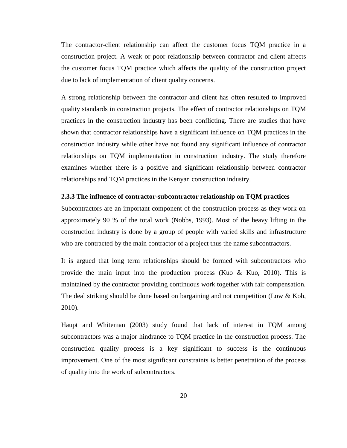The contractor-client relationship can affect the customer focus TQM practice in a construction project. A weak or poor relationship between contractor and client affects the customer focus TQM practice which affects the quality of the construction project due to lack of implementation of client quality concerns.

A strong relationship between the contractor and client has often resulted to improved quality standards in construction projects. The effect of contractor relationships on TQM practices in the construction industry has been conflicting. There are studies that have shown that contractor relationships have a significant influence on TQM practices in the construction industry while other have not found any significant influence of contractor relationships on TQM implementation in construction industry. The study therefore examines whether there is a positive and significant relationship between contractor relationships and TQM practices in the Kenyan construction industry.

#### <span id="page-30-0"></span>**2.3.3 The influence of contractor-subcontractor relationship on TQM practices**

Subcontractors are an important component of the construction process as they work on approximately 90 % of the total work (Nobbs, 1993). Most of the heavy lifting in the construction industry is done by a group of people with varied skills and infrastructure who are contracted by the main contractor of a project thus the name subcontractors.

It is argued that long term relationships should be formed with subcontractors who provide the main input into the production process (Kuo & Kuo, 2010). This is maintained by the contractor providing continuous work together with fair compensation. The deal striking should be done based on bargaining and not competition (Low & Koh, 2010).

Haupt and Whiteman (2003) study found that lack of interest in TQM among subcontractors was a major hindrance to TQM practice in the construction process. The construction quality process is a key significant to success is the continuous improvement. One of the most significant constraints is better penetration of the process of quality into the work of subcontractors.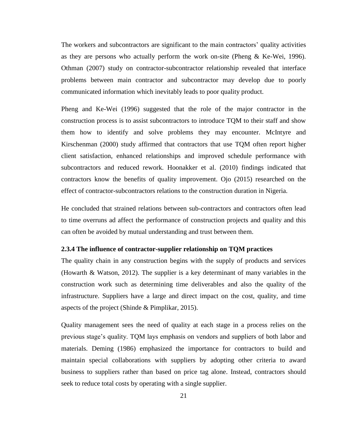The workers and subcontractors are significant to the main contractors' quality activities as they are persons who actually perform the work on-site (Pheng & Ke-Wei, 1996). Othman (2007) study on contractor-subcontractor relationship revealed that interface problems between main contractor and subcontractor may develop due to poorly communicated information which inevitably leads to poor quality product.

Pheng and Ke-Wei (1996) suggested that the role of the major contractor in the construction process is to assist subcontractors to introduce TQM to their staff and show them how to identify and solve problems they may encounter. McIntyre and Kirschenman (2000) study affirmed that contractors that use TQM often report higher client satisfaction, enhanced relationships and improved schedule performance with subcontractors and reduced rework. Hoonakker et al. (2010) findings indicated that contractors know the benefits of quality improvement. Ojo (2015) researched on the effect of contractor-subcontractors relations to the construction duration in Nigeria.

He concluded that strained relations between sub-contractors and contractors often lead to time overruns ad affect the performance of construction projects and quality and this can often be avoided by mutual understanding and trust between them.

#### <span id="page-31-0"></span>**2.3.4 The influence of contractor-supplier relationship on TQM practices**

The quality chain in any construction begins with the supply of products and services (Howarth & Watson, 2012). The supplier is a key determinant of many variables in the construction work such as determining time deliverables and also the quality of the infrastructure. Suppliers have a large and direct impact on the cost, quality, and time aspects of the project (Shinde & Pimplikar, 2015).

Quality management sees the need of quality at each stage in a process relies on the previous stage's quality. TQM lays emphasis on vendors and suppliers of both labor and materials. Deming (1986) emphasized the importance for contractors to build and maintain special collaborations with suppliers by adopting other criteria to award business to suppliers rather than based on price tag alone. Instead, contractors should seek to reduce total costs by operating with a single supplier.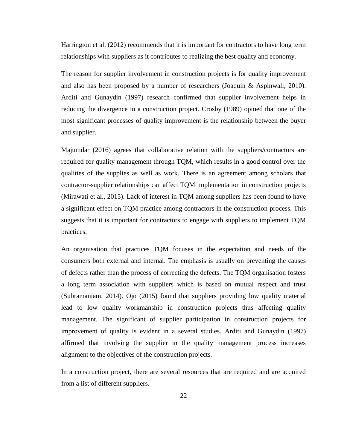Harrington et al. (2012) recommends that it is important for contractors to have long term relationships with suppliers as it contributes to realizing the best quality and economy.

The reason for supplier involvement in construction projects is for quality improvement and also has been proposed by a number of researchers (Joaquin & Aspinwall, 2010). Arditi and Gunaydin (1997) research confirmed that supplier involvement helps in reducing the divergence in a construction project. Crosby (1989) opined that one of the most significant processes of quality improvement is the relationship between the buyer and supplier.

Majumdar (2016) agrees that collaborative relation with the suppliers/contractors are required for quality management through TQM, which results in a good control over the qualities of the supplies as well as work. There is an agreement among scholars that contractor-supplier relationships can affect TQM implementation in construction projects (Mirawati et al., 2015). Lack of interest in TQM among suppliers has been found to have a significant effect on TQM practice among contractors in the construction process. This suggests that it is important for contractors to engage with suppliers to implement TQM practices.

An organisation that practices TQM focuses in the expectation and needs of the consumers both external and internal. The emphasis is usually on preventing the causes of defects rather than the process of correcting the defects. The TQM organisation fosters a long term association with suppliers which is based on mutual respect and trust (Subramaniam, 2014). Ojo (2015) found that suppliers providing low quality material lead to low quality workmanship in construction projects thus affecting quality management. The significant of supplier participation in construction projects for improvement of quality is evident in a several studies. Arditi and Gunaydin (1997) affirmed that involving the supplier in the quality management process increases alignment to the objectives of the construction projects.

In a construction project, there are several resources that are required and are acquired from a list of different suppliers.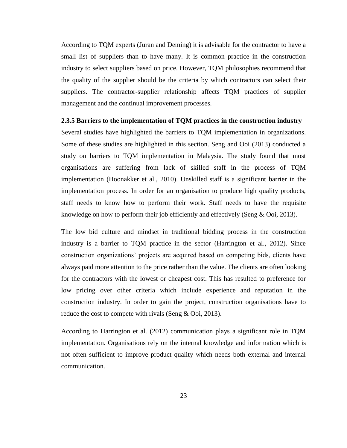According to TQM experts (Juran and Deming) it is advisable for the contractor to have a small list of suppliers than to have many. It is common practice in the construction industry to select suppliers based on price. However, TQM philosophies recommend that the quality of the supplier should be the criteria by which contractors can select their suppliers. The contractor-supplier relationship affects TQM practices of supplier management and the continual improvement processes.

#### <span id="page-33-0"></span>**2.3.5 Barriers to the implementation of TQM practices in the construction industry**

Several studies have highlighted the barriers to TQM implementation in organizations. Some of these studies are highlighted in this section. Seng and Ooi (2013) conducted a study on barriers to TQM implementation in Malaysia. The study found that most organisations are suffering from lack of skilled staff in the process of TQM implementation (Hoonakker et al., 2010). Unskilled staff is a significant barrier in the implementation process. In order for an organisation to produce high quality products, staff needs to know how to perform their work. Staff needs to have the requisite knowledge on how to perform their job efficiently and effectively (Seng & Ooi, 2013).

The low bid culture and mindset in traditional bidding process in the construction industry is a barrier to TQM practice in the sector (Harrington et al., 2012). Since construction organizations' projects are acquired based on competing bids, clients have always paid more attention to the price rather than the value. The clients are often looking for the contractors with the lowest or cheapest cost. This has resulted to preference for low pricing over other criteria which include experience and reputation in the construction industry. In order to gain the project, construction organisations have to reduce the cost to compete with rivals (Seng  $& Ooi, 2013$ ).

According to Harrington et al. (2012) communication plays a significant role in TQM implementation. Organisations rely on the internal knowledge and information which is not often sufficient to improve product quality which needs both external and internal communication.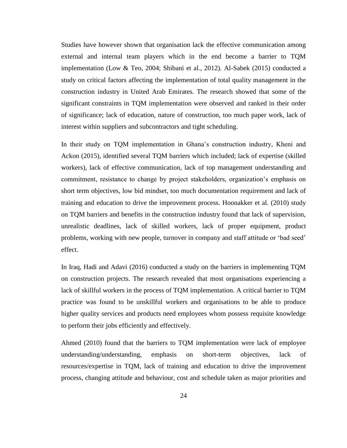Studies have however shown that organisation lack the effective communication among external and internal team players which in the end become a barrier to TQM implementation (Low & Teo, 2004; Shibani et al., 2012). Al-Sabek (2015) conducted a study on critical factors affecting the implementation of total quality management in the construction industry in United Arab Emirates. The research showed that some of the significant constraints in TQM implementation were observed and ranked in their order of significance; lack of education, nature of construction, too much paper work, lack of interest within suppliers and subcontractors and tight scheduling.

In their study on TQM implementation in Ghana's construction industry, Kheni and Ackon (2015), identified several TQM barriers which included; lack of expertise (skilled workers), lack of effective communication, lack of top management understanding and commitment, resistance to change by project stakeholders, organization's emphasis on short term objectives, low bid mindset, too much documentation requirement and lack of training and education to drive the improvement process. Hoonakker et al. (2010) study on TQM barriers and benefits in the construction industry found that lack of supervision, unrealistic deadlines, lack of skilled workers, lack of proper equipment, product problems, working with new people, turnover in company and staff attitude or 'bad seed' effect.

In Iraq, Hadi and Adavi (2016) conducted a study on the barriers in implementing TQM on construction projects. The research revealed that most organisations experiencing a lack of skillful workers in the process of TQM implementation. A critical barrier to TQM practice was found to be unskillful workers and organisations to be able to produce higher quality services and products need employees whom possess requisite knowledge to perform their jobs efficiently and effectively.

Ahmed (2010) found that the barriers to TQM implementation were lack of employee understanding/understanding, emphasis on short-term objectives, lack of resources/expertise in TQM, lack of training and education to drive the improvement process, changing attitude and behaviour, cost and schedule taken as major priorities and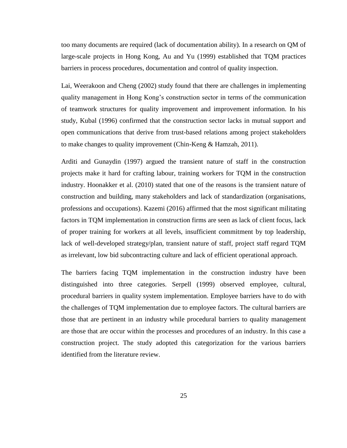too many documents are required (lack of documentation ability). In a research on QM of large-scale projects in Hong Kong, Au and Yu (1999) established that TQM practices barriers in process procedures, documentation and control of quality inspection.

Lai, Weerakoon and Cheng (2002) study found that there are challenges in implementing quality management in Hong Kong's construction sector in terms of the communication of teamwork structures for quality improvement and improvement information. In his study, Kubal (1996) confirmed that the construction sector lacks in mutual support and open communications that derive from trust-based relations among project stakeholders to make changes to quality improvement (Chin-Keng & Hamzah, 2011).

Arditi and Gunaydin (1997) argued the transient nature of staff in the construction projects make it hard for crafting labour, training workers for TQM in the construction industry. Hoonakker et al. (2010) stated that one of the reasons is the transient nature of construction and building, many stakeholders and lack of standardization (organisations, professions and occupations). Kazemi (2016) affirmed that the most significant militating factors in TQM implementation in construction firms are seen as lack of client focus, lack of proper training for workers at all levels, insufficient commitment by top leadership, lack of well-developed strategy/plan, transient nature of staff, project staff regard TQM as irrelevant, low bid subcontracting culture and lack of efficient operational approach.

The barriers facing TQM implementation in the construction industry have been distinguished into three categories. Serpell (1999) observed employee, cultural, procedural barriers in quality system implementation. Employee barriers have to do with the challenges of TQM implementation due to employee factors. The cultural barriers are those that are pertinent in an industry while procedural barriers to quality management are those that are occur within the processes and procedures of an industry. In this case a construction project. The study adopted this categorization for the various barriers identified from the literature review.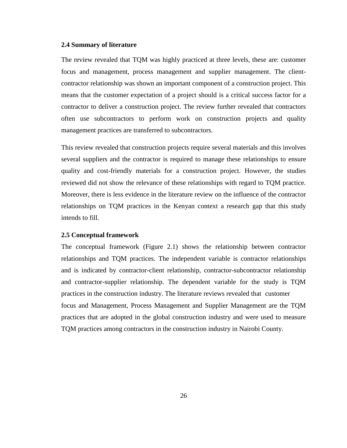## **2.4 Summary of literature**

The review revealed that TQM was highly practiced at three levels, these are: customer focus and management, process management and supplier management. The clientcontractor relationship was shown an important component of a construction project. This means that the customer expectation of a project should is a critical success factor for a contractor to deliver a construction project. The review further revealed that contractors often use subcontractors to perform work on construction projects and quality management practices are transferred to subcontractors.

This review revealed that construction projects require several materials and this involves several suppliers and the contractor is required to manage these relationships to ensure quality and cost-friendly materials for a construction project. However, the studies reviewed did not show the relevance of these relationships with regard to TQM practice. Moreover, there is less evidence in the literature review on the influence of the contractor relationships on TQM practices in the Kenyan context a research gap that this study intends to fill.

## **2.5 Conceptual framework**

The conceptual framework (Figure 2.1) shows the relationship between contractor relationships and TQM practices. The independent variable is contractor relationships and is indicated by contractor-client relationship, contractor-subcontractor relationship and contractor-supplier relationship. The dependent variable for the study is TQM practices in the construction industry. The literature reviews revealed that customer focus and Management, Process Management and Supplier Management are the TQM practices that are adopted in the global construction industry and were used to measure TQM practices among contractors in the construction industry in Nairobi County.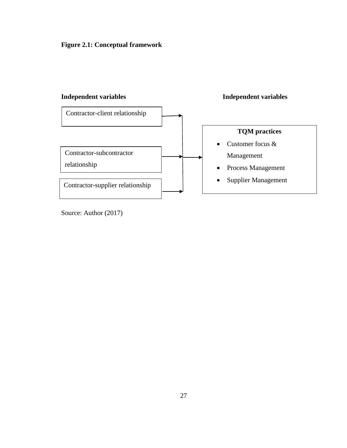



Source: Author (2017)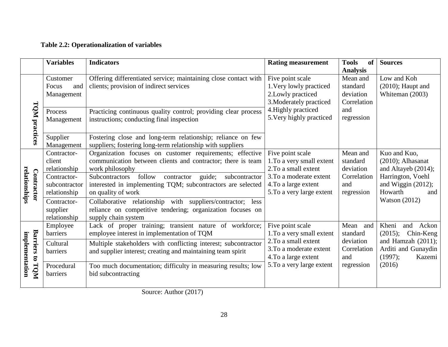# **Table 2.2: Operationalization of variables**

|                                      | <b>Variables</b>                             | <b>Indicators</b>                                                                                                                                   | <b>Rating measurement</b>                                                                    | <b>Tools</b><br>of<br><b>Analysis</b>            | <b>Sources</b>                                                    |
|--------------------------------------|----------------------------------------------|-----------------------------------------------------------------------------------------------------------------------------------------------------|----------------------------------------------------------------------------------------------|--------------------------------------------------|-------------------------------------------------------------------|
|                                      | Customer<br>Focus<br>and<br>Management       | Offering differentiated service; maintaining close contact with<br>clients; provision of indirect services                                          | Five point scale<br>1. Very lowly practiced<br>2. Lowly practiced<br>3. Moderately practiced | Mean and<br>standard<br>deviation<br>Correlation | Low and Koh<br>$(2010)$ ; Haupt and<br>Whiteman (2003)            |
| TQM practices                        | Process<br>Management                        | Practicing continuous quality control; providing clear process<br>instructions; conducting final inspection                                         | 4. Highly practiced<br>5. Very highly practiced                                              | and<br>regression                                |                                                                   |
|                                      | Supplier<br>Management                       | Fostering close and long-term relationship; reliance on few<br>suppliers; fostering long-term relationship with suppliers                           |                                                                                              |                                                  |                                                                   |
|                                      | Contractor-<br>client<br>relationship        | Organization focuses on customer requirements; effective<br>communication between clients and contractor; there is team<br>work philosophy          | Five point scale<br>1. To a very small extent<br>2. To a small extent                        | Mean and<br>standard<br>deviation                | Kuo and Kuo,<br>$(2010)$ ; Alhasanat<br>and Altayeb (2014);       |
| relationships<br>Contractor          | Contractor-<br>subcontractor<br>relationship | follow contractor<br>guide;<br>subcontractor<br>Subcontractors<br>interested in implementing TQM; subcontractors are selected<br>on quality of work | 3. To a moderate extent<br>4. To a large extent<br>5. To a very large extent                 | Correlation<br>and<br>regression                 | Harrington, Voehl<br>and Wiggin $(2012)$ ;<br>Howarth<br>and      |
|                                      | Contractor-<br>supplier<br>relationship      | Collaborative relationship with suppliers/contractor; less<br>reliance on competitive tendering; organization focuses on<br>supply chain system     |                                                                                              |                                                  | Watson $(2012)$                                                   |
|                                      | Employee<br>barriers                         | Lack of proper training; transient nature of workforce;<br>employee interest in implementation of TQM                                               | Five point scale<br>1. To a very small extent                                                | Mean and<br>standard                             | Kheni<br>and<br>Ackon<br>(2015);<br>Chin-Keng                     |
| <b>Barriers to</b><br>implementation | Cultural<br>barriers                         | Multiple stakeholders with conflicting interest; subcontractor<br>and supplier interest; creating and maintaining team spirit                       | 2. To a small extent<br>3. To a moderate extent<br>4. To a large extent                      | deviation<br>Correlation<br>and                  | and Hamzah $(2011)$ ;<br>Arditi and Gunaydin<br>(1997);<br>Kazemi |
| TQM                                  | Procedural<br>barriers                       | Too much documentation; difficulty in measuring results; low<br>bid subcontracting                                                                  | 5. To a very large extent                                                                    | regression                                       | (2016)                                                            |

Source: Author (2017)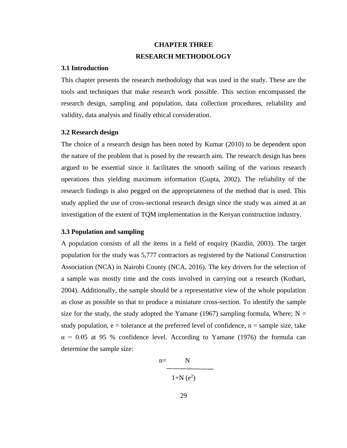# **CHAPTER THREE RESEARCH METHODOLOGY**

## **3.1 Introduction**

This chapter presents the research methodology that was used in the study. These are the tools and techniques that make research work possible. This section encompassed the research design, sampling and population, data collection procedures, reliability and validity, data analysis and finally ethical consideration.

#### **3.2 Research design**

The choice of a research design has been noted by Kumar (2010) to be dependent upon the nature of the problem that is posed by the research aim. The research design has been argued to be essential since it facilitates the smooth sailing of the various research operations thus yielding maximum information (Gupta, 2002). The reliability of the research findings is also pegged on the appropriateness of the method that is used. This study applied the use of cross-sectional research design since the study was aimed at an investigation of the extent of TQM implementation in the Kenyan construction industry.

# **3.3 Population and sampling**

A population consists of all the items in a field of enquiry (Kazdin, 2003). The target population for the study was 5,777 contractors as registered by the National Construction Association (NCA) in Nairobi County (NCA, 2016). The key drivers for the selection of a sample was mostly time and the costs involved in carrying out a research (Kothari, 2004). Additionally, the sample should be a representative view of the whole population as close as possible so that to produce a miniature cross-section. To identify the sample size for the study, the study adopted the Yamane (1967) sampling formula, Where;  $N =$ study population,  $e =$  tolerance at the preferred level of confidence,  $n =$  sample size, take  $\alpha$  = 0.05 at 95 % confidence level. According to Yamane (1976) the formula can determine the sample size:

$$
n = \boxed{N}
$$

 $1+N(e^2)$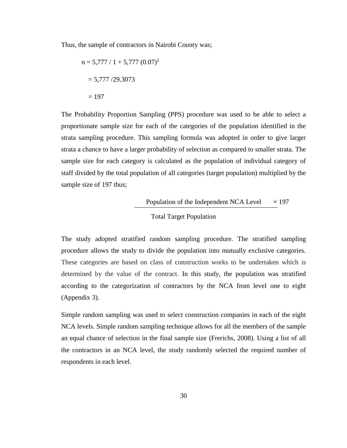Thus, the sample of contractors in Nairobi County was;

$$
n = 5,777 / 1 + 5,777 (0.07)^{2}
$$

$$
= 5,777 / 29.3073
$$

$$
= 197
$$

The Probability Proportion Sampling (PPS) procedure was used to be able to select a proportionate sample size for each of the categories of the population identified in the strata sampling procedure. This sampling formula was adopted in order to give larger strata a chance to have a larger probability of selection as compared to smaller strata. The sample size for each category is calculated as the population of individual category of staff divided by the total population of all categories (target population) multiplied by the sample size of 197 thus;

Population of the Independent NCA Level 
$$
\times
$$
 197

\nTotal Target Population

The study adopted stratified random sampling procedure. The stratified sampling procedure allows the study to divide the population into mutually exclusive categories. These categories are based on class of construction works to be undertaken which is determined by the value of the contract. In this study, the population was stratified according to the categorization of contractors by the NCA from level one to eight (Appendix 3).

Simple random sampling was used to select construction companies in each of the eight NCA levels. Simple random sampling technique allows for all the members of the sample an equal chance of selection in the final sample size (Frerichs, 2008). Using a list of all the contractors in an NCA level, the study randomly selected the required number of respondents in each level.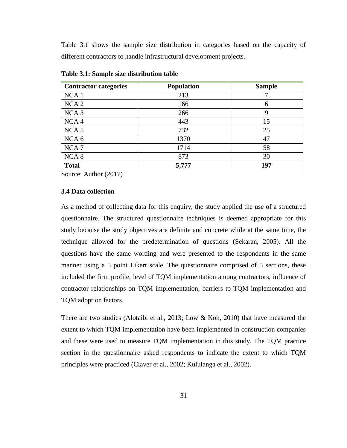Table 3.1 shows the sample size distribution in categories based on the capacity of different contractors to handle infrastructural development projects.

| <b>Contractor categories</b> | Population | <b>Sample</b> |
|------------------------------|------------|---------------|
| NCA <sub>1</sub>             | 213        |               |
| NCA <sub>2</sub>             | 166        | 6             |
| NCA <sub>3</sub>             | 266        | 9             |
| NCA <sub>4</sub>             | 443        | 15            |
| NCA <sub>5</sub>             | 732        | 25            |
| NCA <sub>6</sub>             | 1370       | 47            |
| NCA <sub>7</sub>             | 1714       | 58            |
| NCA <sub>8</sub>             | 873        | 30            |
| <b>Total</b>                 | 5,777      | 197           |

**Table 3.1: Sample size distribution table** 

Source: Author (2017)

#### **3.4 Data collection**

As a method of collecting data for this enquiry, the study applied the use of a structured questionnaire. The structured questionnaire techniques is deemed appropriate for this study because the study objectives are definite and concrete while at the same time, the technique allowed for the predetermination of questions (Sekaran, 2005). All the questions have the same wording and were presented to the respondents in the same manner using a 5 point Likert scale. The questionnaire comprised of 5 sections, these included the firm profile, level of TQM implementation among contractors, influence of contractor relationships on TQM implementation, barriers to TQM implementation and TQM adoption factors.

There are two studies (Alotaibi et al., 2013; Low & Koh, 2010) that have measured the extent to which TQM implementation have been implemented in construction companies and these were used to measure TQM implementation in this study. The TQM practice section in the questionnaire asked respondents to indicate the extent to which TQM principles were practiced (Claver et al., 2002; Kululanga et al., 2002).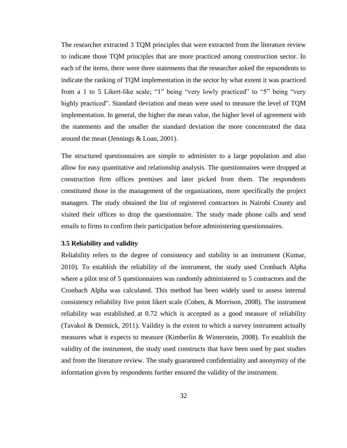The researcher extracted 3 TQM principles that were extracted from the literature review to indicate those TQM principles that are more practiced among construction sector. In each of the items, there were three statements that the researcher asked the repsondents to indicate the ranking of TQM implementation in the sector by what extent it was practiced from a 1 to 5 Likert-like scale; "1" being "very lowly practiced" to "5" being "very highly practiced". Standard deviation and mean were used to measure the level of TQM implementation. In general, the higher the mean value, the higher level of agreement with the statements and the smaller the standard deviation the more concentrated the data around the mean (Jennings & Loan, 2001).

The structured questionnaires are simple to administer to a large population and also allow for easy quantitative and relationship analysis. The questionnaires were dropped at construction firm offices premises and later picked from them. The respondents constituted those in the management of the organizations, more specifically the project managers. The study obtained the list of registered contractors in Nairobi County and visited their offices to drop the questionnaire. The study made phone calls and send emails to firms to confirm their participation before administering questionnaires.

#### **3.5 Reliability and validity**

Reliability refers to the degree of consistency and stability in an instrument (Kumar, 2010). To establish the reliability of the instrument, the study used Cronbach Alpha where a pilot test of 5 questionnaires was randomly administered to 5 contractors and the Cronbach Alpha was calculated. This method has been widely used to assess internal consistency reliability five point likert scale (Cohen, & Morrison, 2008). The instrument reliability was established at 0.72 which is accepted as a good measure of reliability (Tavakol & Dennick, 2011). Vaildity is the extent to which a survey instrument actually measures what it expects to measure (Kimberlin & Winterstein, 2008). To establish the validity of the instrument, the study used constructs that have been used by past studies and from the literature review. The study guaranteed confidentiality and anonymity of the information given by respondents further ensured the validity of the instrument.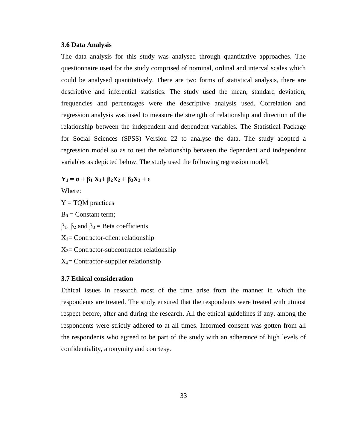#### **3.6 Data Analysis**

The data analysis for this study was analysed through quantitative approaches. The questionnaire used for the study comprised of nominal, ordinal and interval scales which could be analysed quantitatively. There are two forms of statistical analysis, there are descriptive and inferential statistics. The study used the mean, standard deviation, frequencies and percentages were the descriptive analysis used. Correlation and regression analysis was used to measure the strength of relationship and direction of the relationship between the independent and dependent variables. The Statistical Package for Social Sciences (SPSS) Version 22 to analyse the data. The study adopted a regression model so as to test the relationship between the dependent and independent variables as depicted below. The study used the following regression model;

 $Y_1 = \alpha + \beta_1 X_1 + \beta_2 X_2 + \beta_3 X_3 + \epsilon$ 

Where:

- $Y = TQM$  practices
- $B_0 =$ Constant term;

 $β<sub>1</sub>, β<sub>2</sub>$  and  $β<sub>3</sub> = Beta coefficients$ 

- $X_1$ = Contractor-client relationship
- $X_2$ = Contractor-subcontractor relationship
- $X_3$ = Contractor-supplier relationship

## **3.7 Ethical consideration**

Ethical issues in research most of the time arise from the manner in which the respondents are treated. The study ensured that the respondents were treated with utmost respect before, after and during the research. All the ethical guidelines if any, among the respondents were strictly adhered to at all times. Informed consent was gotten from all the respondents who agreed to be part of the study with an adherence of high levels of confidentiality, anonymity and courtesy.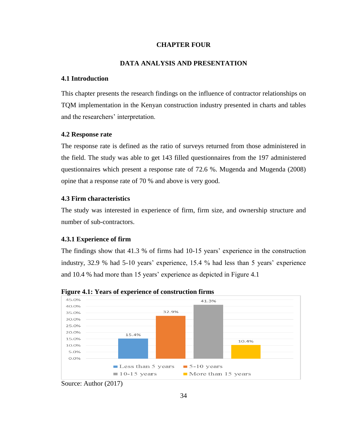## **CHAPTER FOUR**

# **DATA ANALYSIS AND PRESENTATION**

# **4.1 Introduction**

This chapter presents the research findings on the influence of contractor relationships on TQM implementation in the Kenyan construction industry presented in charts and tables and the researchers' interpretation.

# **4.2 Response rate**

The response rate is defined as the ratio of surveys returned from those administered in the field. The study was able to get 143 filled questionnaires from the 197 administered questionnaires which present a response rate of 72.6 %. Mugenda and Mugenda (2008) opine that a response rate of 70 % and above is very good.

#### **4.3 Firm characteristics**

The study was interested in experience of firm, firm size, and ownership structure and number of sub-contractors.

## **4.3.1 Experience of firm**

The findings show that 41.3 % of firms had 10-15 years' experience in the construction industry, 32.9 % had 5-10 years' experience, 15.4 % had less than 5 years' experience and 10.4 % had more than 15 years' experience as depicted in Figure 4.1



**Figure 4.1: Years of experience of construction firms** 

Source: Author (2017)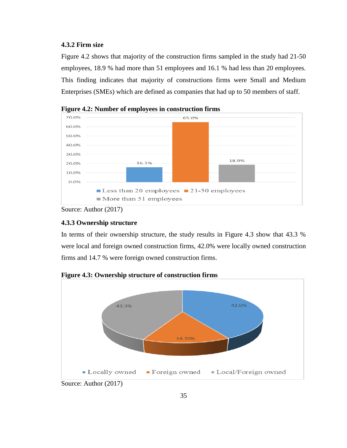# **4.3.2 Firm size**

Figure 4.2 shows that majority of the construction firms sampled in the study had 21-50 employees, 18.9 % had more than 51 employees and 16.1 % had less than 20 employees. This finding indicates that majority of constructions firms were Small and Medium Enterprises (SMEs) which are defined as companies that had up to 50 members of staff.



**Figure 4.2: Number of employees in construction firms** 

# **4.3.3 Ownership structure**

In terms of their ownership structure, the study results in Figure 4.3 show that 43.3 % were local and foreign owned construction firms, 42.0% were locally owned construction firms and 14.7 % were foreign owned construction firms.



**Figure 4.3: Ownership structure of construction firms** 

Source: Author (2017)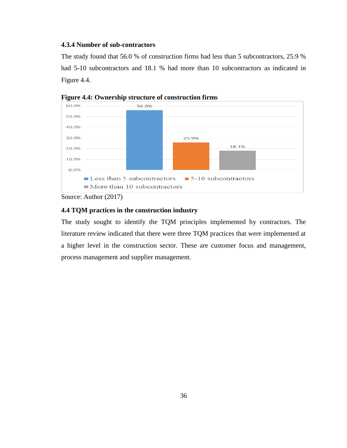# **4.3.4 Number of sub-contractors**

The study found that 56.0 % of construction firms had less than 5 subcontractors, 25.9 % had 5-10 subcontractors and 18.1 % had more than 10 subcontractors as indicated in Figure 4.4.



**Figure 4.4: Ownership structure of construction firms**

## **4.4 TQM practices in the construction industry**

The study sought to identify the TQM principles implemented by contractors. The literature review indicated that there were three TQM practices that were implemented at a higher level in the construction sector. These are customer focus and management, process management and supplier management.

Source: Author (2017)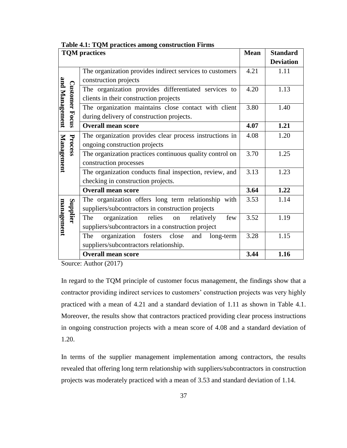|                   | <b>TQM</b> practices  |                                                             |      | <b>Standard</b>  |
|-------------------|-----------------------|-------------------------------------------------------------|------|------------------|
|                   |                       |                                                             |      | <b>Deviation</b> |
|                   |                       | The organization provides indirect services to customers    | 4.21 | 1.11             |
|                   |                       | construction projects                                       |      |                  |
|                   |                       | The organization provides differentiated services to        | 4.20 | 1.13             |
|                   |                       | clients in their construction projects                      |      |                  |
|                   |                       | The organization maintains close contact with client        | 3.80 | 1.40             |
| and Management    | <b>Customer Focus</b> | during delivery of construction projects.                   |      |                  |
|                   |                       | <b>Overall mean score</b>                                   | 4.07 | 1.21             |
|                   |                       | The organization provides clear process instructions in     | 4.08 | 1.20             |
|                   | Process               | ongoing construction projects                               |      |                  |
| <b>Management</b> |                       | The organization practices continuous quality control on    | 3.70 | 1.25             |
|                   |                       | construction processes                                      |      |                  |
|                   |                       | The organization conducts final inspection, review, and     | 3.13 | 1.23             |
|                   |                       | checking in construction projects.                          |      |                  |
|                   |                       | <b>Overall mean score</b>                                   | 3.64 | 1.22             |
|                   |                       | The organization offers long term relationship with         | 3.53 | 1.14             |
|                   | Supplier              | suppliers/subcontractors in construction projects           |      |                  |
|                   |                       | organization<br>relies<br>relatively<br>The<br>few<br>on    | 3.52 | 1.19             |
| management        |                       | suppliers/subcontractors in a construction project          |      |                  |
|                   |                       | organization<br>The<br>fosters<br>close<br>and<br>long-term | 3.28 | 1.15             |
|                   |                       | suppliers/subcontractors relationship.                      |      |                  |
|                   |                       | <b>Overall mean score</b>                                   | 3.44 | 1.16             |

#### **Table 4.1: TQM practices among construction Firms**

Source: Author (2017)

In regard to the TQM principle of customer focus management, the findings show that a contractor providing indirect services to customers' construction projects was very highly practiced with a mean of 4.21 and a standard deviation of 1.11 as shown in Table 4.1. Moreover, the results show that contractors practiced providing clear process instructions in ongoing construction projects with a mean score of 4.08 and a standard deviation of 1.20.

In terms of the supplier management implementation among contractors, the results revealed that offering long term relationship with suppliers/subcontractors in construction projects was moderately practiced with a mean of 3.53 and standard deviation of 1.14.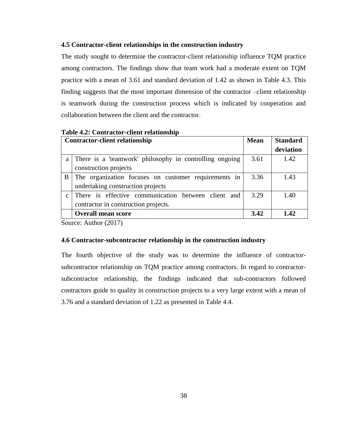# **4.5 Contractor-client relationships in the construction industry**

The study sought to determine the contractor-client relationship influence TQM practice among contractors. The findings show that team work had a moderate extent on TQM practice with a mean of 3.61 and standard deviation of 1.42 as shown in Table 4.3. This finding suggests that the most important dimension of the contractor –client relationship is teamwork during the construction process which is indicated by cooperation and collaboration between the client and the contractor.

|              | <b>Contractor-client relationship</b>                   | <b>Mean</b> | <b>Standard</b> |
|--------------|---------------------------------------------------------|-------------|-----------------|
|              |                                                         |             | deviation       |
| a            | There is a 'teamwork' philosophy in controlling ongoing | 3.61        | 1.42            |
|              | construction projects                                   |             |                 |
| B            | The organization focuses on customer requirements in    | 3.36        | 1.43            |
|              | undertaking construction projects                       |             |                 |
| $\mathbf{c}$ | There is effective communication between client and     | 3.29        | 1.40            |
|              | contractor in construction projects.                    |             |                 |
|              | <b>Overall mean score</b>                               | 3.42        | 1.42            |

**Table 4.2: Contractor-client relationship**

Source: Author (2017)

#### **4.6 Contractor-subcontractor relationship in the construction industry**

The fourth objective of the study was to determine the influence of contractorsubcontractor relationship on TQM practice among contractors. In regard to contractorsubcontractor relationship, the findings indicated that sub-contractors followed contractors guide to quality in construction projects to a very large extent with a mean of 3.76 and a standard deviation of 1.22 as presented in Table 4.4.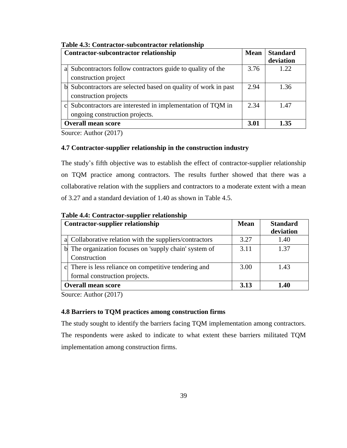|   | Contractor-subcontractor relationship                        | <b>Mean</b> | <b>Standard</b> |
|---|--------------------------------------------------------------|-------------|-----------------|
|   |                                                              |             | deviation       |
| a | Subcontractors follow contractors guide to quality of the    | 3.76        | 1.22.           |
|   | construction project                                         |             |                 |
|   | Subcontractors are selected based on quality of work in past | 2.94        | 1.36            |
|   | construction projects                                        |             |                 |
|   | Subcontractors are interested in implementation of TQM in    | 2.34        | 1.47            |
|   | ongoing construction projects.                               |             |                 |
|   | <b>Overall mean score</b>                                    | 3.01        | 1 35            |

## **Table 4.3: Contractor-subcontractor relationship**

Source: Author (2017)

## **4.7 Contractor-supplier relationship in the construction industry**

The study's fifth objective was to establish the effect of contractor-supplier relationship on TQM practice among contractors. The results further showed that there was a collaborative relation with the suppliers and contractors to a moderate extent with a mean of 3.27 and a standard deviation of 1.40 as shown in Table 4.5.

| <b>Contractor-supplier relationship</b>                 | <b>Mean</b> | <b>Standard</b> |
|---------------------------------------------------------|-------------|-----------------|
|                                                         |             | deviation       |
| a Collaborative relation with the suppliers/contractors | 3.27        | 1.40            |
| b The organization focuses on 'supply chain' system of  | 3.11        | 1.37            |
| Construction                                            |             |                 |
| c There is less reliance on competitive tendering and   | 3.00        | 1.43            |
| formal construction projects.                           |             |                 |
| <b>Overall mean score</b>                               | 3.13        | 1.40            |

**Table 4.4: Contractor-supplier relationship**

Source: Author (2017)

## **4.8 Barriers to TQM practices among construction firms**

The study sought to identify the barriers facing TQM implementation among contractors. The respondents were asked to indicate to what extent these barriers militated TQM implementation among construction firms.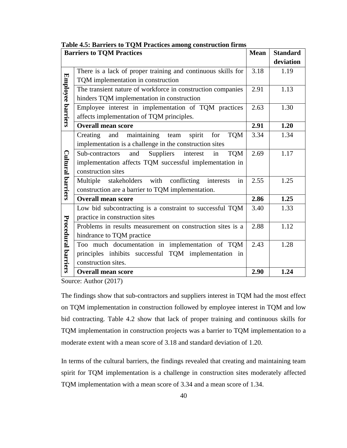| <b>Mean</b><br><b>Barriers to TQM Practices</b> |                                                                       |      | <b>Standard</b> |
|-------------------------------------------------|-----------------------------------------------------------------------|------|-----------------|
|                                                 |                                                                       |      | deviation       |
|                                                 | There is a lack of proper training and continuous skills for          | 3.18 | 1.19            |
| Employee barriers                               | TQM implementation in construction                                    |      |                 |
|                                                 | The transient nature of workforce in construction companies           | 2.91 | 1.13            |
|                                                 | hinders TQM implementation in construction                            |      |                 |
|                                                 | Employee interest in implementation of TQM practices                  | 2.63 | 1.30            |
|                                                 | affects implementation of TQM principles.                             |      |                 |
|                                                 | <b>Overall mean score</b>                                             | 2.91 | 1.20            |
|                                                 | maintaining<br>spirit<br><b>TQM</b><br>Creating<br>for<br>and<br>team | 3.34 | 1.34            |
|                                                 | implementation is a challenge in the construction sites               |      |                 |
|                                                 | Suppliers<br>interest<br><b>TQM</b><br>Sub-contractors<br>and<br>in   | 2.69 | 1.17            |
|                                                 | implementation affects TQM successful implementation in               |      |                 |
|                                                 | construction sites                                                    |      |                 |
| <b>Cultural barriers</b>                        | stakeholders with<br>conflicting<br>Multiple<br>interests<br>in       | 2.55 | 1.25            |
|                                                 | construction are a barrier to TQM implementation.                     |      |                 |
|                                                 | <b>Overall mean score</b>                                             | 2.86 | 1.25            |
|                                                 | Low bid subcontracting is a constraint to successful TQM              | 3.40 | 1.33            |
|                                                 | practice in construction sites                                        |      |                 |
|                                                 | Problems in results measurement on construction sites is a            | 2.88 | 1.12            |
|                                                 | hindrance to TQM practice                                             |      |                 |
|                                                 | Too much documentation in implementation of TQM                       | 2.43 | 1.28            |
|                                                 | principles inhibits successful TQM implementation in                  |      |                 |
| Procedural barriers                             | construction sites.                                                   |      |                 |
|                                                 | <b>Overall mean score</b>                                             | 2.90 | 1.24            |

#### **Table 4.5: Barriers to TQM Practices among construction firms**

Source: Author (2017)

The findings show that sub-contractors and suppliers interest in TQM had the most effect on TQM implementation in construction followed by employee interest in TQM and low bid contracting. Table 4.2 show that lack of proper training and continuous skills for TQM implementation in construction projects was a barrier to TQM implementation to a moderate extent with a mean score of 3.18 and standard deviation of 1.20.

In terms of the cultural barriers, the findings revealed that creating and maintaining team spirit for TQM implementation is a challenge in construction sites moderately affected TQM implementation with a mean score of 3.34 and a mean score of 1.34.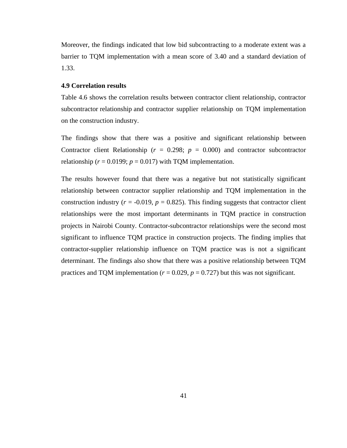Moreover, the findings indicated that low bid subcontracting to a moderate extent was a barrier to TQM implementation with a mean score of 3.40 and a standard deviation of 1.33.

#### **4.9 Correlation results**

Table 4.6 shows the correlation results between contractor client relationship, contractor subcontractor relationship and contractor supplier relationship on TQM implementation on the construction industry.

The findings show that there was a positive and significant relationship between Contractor client Relationship ( $r = 0.298$ ;  $p = 0.000$ ) and contractor subcontractor relationship ( $r = 0.0199$ ;  $p = 0.017$ ) with TQM implementation.

The results however found that there was a negative but not statistically significant relationship between contractor supplier relationship and TQM implementation in the construction industry ( $r = -0.019$ ,  $p = 0.825$ ). This finding suggests that contractor client relationships were the most important determinants in TQM practice in construction projects in Nairobi County. Contractor-subcontractor relationships were the second most significant to influence TQM practice in construction projects. The finding implies that contractor-supplier relationship influence on TQM practice was is not a significant determinant. The findings also show that there was a positive relationship between TQM practices and TQM implementation ( $r = 0.029$ ,  $p = 0.727$ ) but this was not significant.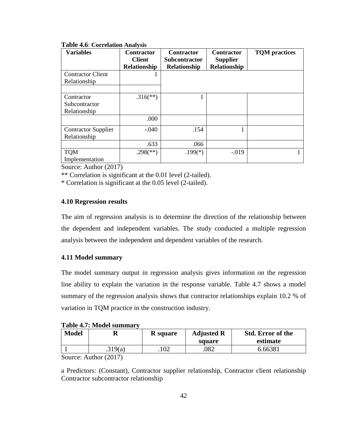| <b>Variables</b>           | <b>Contractor</b><br><b>Client</b> | <b>Contractor</b><br><b>Subcontractor</b> | <b>Contractor</b><br><b>Supplier</b> | <b>TQM</b> practices |
|----------------------------|------------------------------------|-------------------------------------------|--------------------------------------|----------------------|
|                            | Relationship                       | Relationship                              | <b>Relationship</b>                  |                      |
| <b>Contractor Client</b>   |                                    |                                           |                                      |                      |
| Relationship               |                                    |                                           |                                      |                      |
|                            |                                    |                                           |                                      |                      |
| Contractor                 | $.316$ <sup>**</sup> )             |                                           |                                      |                      |
| Subcontractor              |                                    |                                           |                                      |                      |
| Relationship               |                                    |                                           |                                      |                      |
|                            | .000                               |                                           |                                      |                      |
| <b>Contractor Supplier</b> | $-.040$                            | .154                                      |                                      |                      |
| Relationship               |                                    |                                           |                                      |                      |
|                            | .633                               | .066                                      |                                      |                      |
| <b>TQM</b>                 | $.298$ <sup>(**)</sup> )           | $.199(*)$                                 | $-0.019$                             |                      |
| Implementation             |                                    |                                           |                                      |                      |

## **Table 4.6**: **Correlation Analysis**

Source: Author (2017)

\*\* Correlation is significant at the 0.01 level (2-tailed).

\* Correlation is significant at the 0.05 level (2-tailed).

# **4.10 Regression results**

The aim of regression analysis is to determine the direction of the relationship between the dependent and independent variables. The study conducted a multiple regression analysis between the independent and dependent variables of the research.

# **4.11 Model summary**

The model summary output in regression analysis gives information on the regression line ability to explain the variation in the response variable. Table 4.7 shows a model summary of the regression analysis shows that contractor relationships explain 10.2 % of variation in TQM practice in the construction industry.

**Table 4.7: Model summary**

| <b>Model</b> |         | <b>R</b> square | <b>Adjusted R</b> | <b>Std. Error of the</b> |
|--------------|---------|-----------------|-------------------|--------------------------|
|              |         |                 | square            | estimate                 |
|              | .319(a) | .102            | .082              | 6.66381                  |

Source: Author (2017)

a Predictors: (Constant), Contractor supplier relationship, Contractor client relationship Contractor subcontractor relationship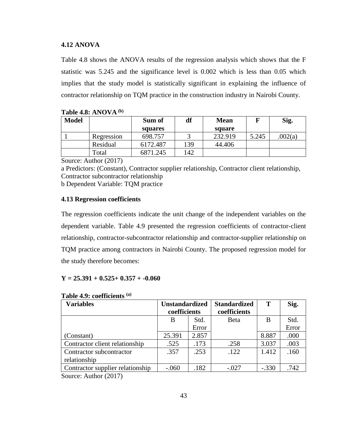#### **4.12 ANOVA**

Table 4.8 shows the ANOVA results of the regression analysis which shows that the F statistic was 5.245 and the significance level is 0.002 which is less than 0.05 which implies that the study model is statistically significant in explaining the influence of contractor relationship on TQM practice in the construction industry in Nairobi County.

| <b>Model</b> |            | Sum of   | df  | <b>Mean</b> |       | Sig.   |
|--------------|------------|----------|-----|-------------|-------|--------|
|              |            | squares  |     | square      |       |        |
|              | Regression | 698.757  |     | 232.919     | 5.245 | 002(a) |
|              | Residual   | 6172.487 | 139 | 44.406      |       |        |
|              | Total      | 6871.245 | 142 |             |       |        |

| Table 4.8: ANOVA $^{(b)}$ |  |  |  |
|---------------------------|--|--|--|
|---------------------------|--|--|--|

Source: Author (2017)

a Predictors: (Constant), Contractor supplier relationship, Contractor client relationship, Contractor subcontractor relationship b Dependent Variable: TQM practice

#### **4.13 Regression coefficients**

The regression coefficients indicate the unit change of the independent variables on the dependent variable. Table 4.9 presented the regression coefficients of contractor-client relationship, contractor-subcontractor relationship and contractor-supplier relationship on TQM practice among contractors in Nairobi County. The proposed regression model for the study therefore becomes:

## **Y = 25.391 + 0.525+ 0.357 + -0.060**

| <b>Variables</b>                                                      | <b>Unstandardized</b><br>coefficients |       |              |         | <b>Standardized</b><br>coefficients | T | Sig. |
|-----------------------------------------------------------------------|---------------------------------------|-------|--------------|---------|-------------------------------------|---|------|
|                                                                       | B                                     | Std.  | <b>B</b> eta | B       | Std.                                |   |      |
|                                                                       |                                       | Error |              |         | Error                               |   |      |
| (Constant)                                                            | 25.391                                | 2.857 |              | 8.887   | .000                                |   |      |
| Contractor client relationship                                        | .525                                  | .173  | .258         | 3.037   | .003                                |   |      |
| Contractor subcontractor                                              | .357                                  | .253  | .122         | 1.412   | .160                                |   |      |
| relationship                                                          |                                       |       |              |         |                                     |   |      |
| Contractor supplier relationship                                      | $-.060$                               | .182  | $-.027$      | $-.330$ | .742                                |   |      |
| $\mathcal{C}_{\text{average}}$ $\Lambda$ $\text{while}$ $\mathcal{C}$ |                                       |       |              |         |                                     |   |      |

#### **Table 4.9: coefficients (a)**

Source: Author (2017)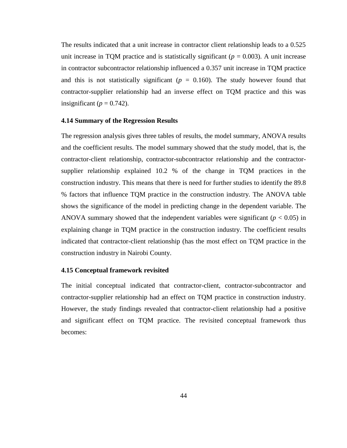The results indicated that a unit increase in contractor client relationship leads to a 0.525 unit increase in TQM practice and is statistically significant ( $p = 0.003$ ). A unit increase in contractor subcontractor relationship influenced a 0.357 unit increase in TQM practice and this is not statistically significant ( $p = 0.160$ ). The study however found that contractor-supplier relationship had an inverse effect on TQM practice and this was insignificant ( $p = 0.742$ ).

#### **4.14 Summary of the Regression Results**

The regression analysis gives three tables of results, the model summary, ANOVA results and the coefficient results. The model summary showed that the study model, that is, the contractor-client relationship, contractor-subcontractor relationship and the contractorsupplier relationship explained 10.2 % of the change in TQM practices in the construction industry. This means that there is need for further studies to identify the 89.8 % factors that influence TQM practice in the construction industry. The ANOVA table shows the significance of the model in predicting change in the dependent variable. The ANOVA summary showed that the independent variables were significant  $(p < 0.05)$  in explaining change in TQM practice in the construction industry. The coefficient results indicated that contractor-client relationship (has the most effect on TQM practice in the construction industry in Nairobi County.

# **4.15 Conceptual framework revisited**

The initial conceptual indicated that contractor-client, contractor-subcontractor and contractor-supplier relationship had an effect on TQM practice in construction industry. However, the study findings revealed that contractor-client relationship had a positive and significant effect on TQM practice. The revisited conceptual framework thus becomes: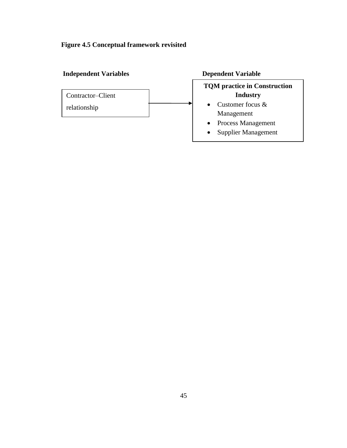# **Figure 4.5 Conceptual framework revisited**

# **Independent Variables Dependent Variable**



# **TQM practice in Construction Industry**

- Customer focus & Management
- Process Management
- Supplier Management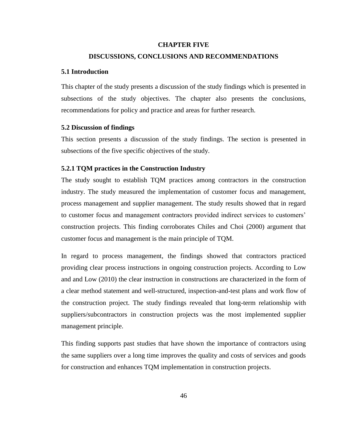#### **CHAPTER FIVE**

# **DISCUSSIONS, CONCLUSIONS AND RECOMMENDATIONS**

#### **5.1 Introduction**

This chapter of the study presents a discussion of the study findings which is presented in subsections of the study objectives. The chapter also presents the conclusions, recommendations for policy and practice and areas for further research.

## **5.2 Discussion of findings**

This section presents a discussion of the study findings. The section is presented in subsections of the five specific objectives of the study.

## **5.2.1 TQM practices in the Construction Industry**

The study sought to establish TQM practices among contractors in the construction industry. The study measured the implementation of customer focus and management, process management and supplier management. The study results showed that in regard to customer focus and management contractors provided indirect services to customers' construction projects. This finding corroborates Chiles and Choi (2000) argument that customer focus and management is the main principle of TQM.

In regard to process management, the findings showed that contractors practiced providing clear process instructions in ongoing construction projects. According to Low and and Low (2010) the clear instruction in constructions are characterized in the form of a clear method statement and well-structured, inspection-and-test plans and work flow of the construction project. The study findings revealed that long-term relationship with suppliers/subcontractors in construction projects was the most implemented supplier management principle.

This finding supports past studies that have shown the importance of contractors using the same suppliers over a long time improves the quality and costs of services and goods for construction and enhances TQM implementation in construction projects.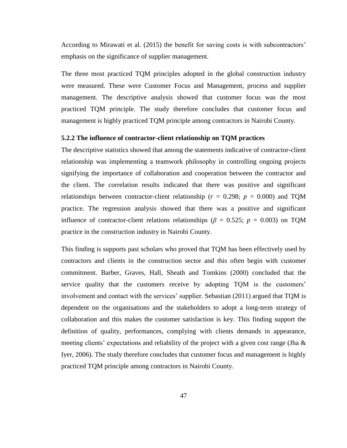According to Mirawati et al. (2015) the benefit for saving costs is with subcontractors' emphasis on the significance of supplier management.

The three most practiced TQM principles adopted in the global construction industry were measured. These were Customer Focus and Management, process and supplier management. The descriptive analysis showed that customer focus was the most practiced TQM principle. The study therefore concludes that customer focus and management is highly practiced TQM principle among contractors in Nairobi County.

# **5.2.2 The influence of contractor-client relationship on TQM practices**

The descriptive statistics showed that among the statements indicative of contractor-client relationship was implementing a teamwork philosophy in controlling ongoing projects signifying the importance of collaboration and cooperation between the contractor and the client. The correlation results indicated that there was positive and significant relationships between contractor-client relationship ( $r = 0.298$ ;  $p = 0.000$ ) and TQM practice. The regression analysis showed that there was a positive and significant influence of contractor-client relations relationships ( $\beta$  = 0.525; *p* = 0.003) on TQM practice in the construction industry in Nairobi County.

This finding is supports past scholars who proved that TQM has been effectively used by contractors and clients in the construction sector and this often begin with customer commitment. Barber, Graves, Hall, Sheath and Tomkins (2000) concluded that the service quality that the customers receive by adopting TQM is the customers' involvement and contact with the services' supplier. Sebastian (2011) argued that TQM is dependent on the organisations and the stakeholders to adopt a long-term strategy of collaboration and this makes the customer satisfaction is key. This finding support the definition of quality, performances, complying with clients demands in appearance, meeting clients' expectations and reliability of the project with a given cost range (Jha & Iyer, 2006). The study therefore concludes that customer focus and management is highly practiced TQM principle among contractors in Nairobi County.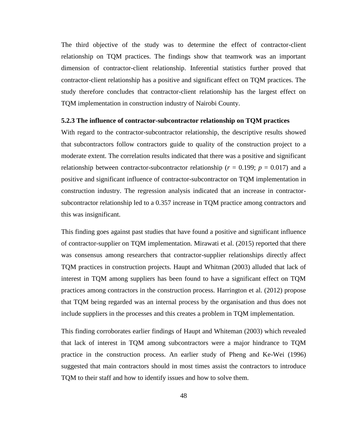The third objective of the study was to determine the effect of contractor-client relationship on TQM practices. The findings show that teamwork was an important dimension of contractor-client relationship. Inferential statistics further proved that contractor-client relationship has a positive and significant effect on TQM practices. The study therefore concludes that contractor-client relationship has the largest effect on TQM implementation in construction industry of Nairobi County.

#### **5.2.3 The influence of contractor-subcontractor relationship on TQM practices**

With regard to the contractor-subcontractor relationship, the descriptive results showed that subcontractors follow contractors guide to quality of the construction project to a moderate extent. The correlation results indicated that there was a positive and significant relationship between contractor-subcontractor relationship ( $r = 0.199$ ;  $p = 0.017$ ) and a positive and significant influence of contractor-subcontractor on TQM implementation in construction industry. The regression analysis indicated that an increase in contractorsubcontractor relationship led to a 0.357 increase in TQM practice among contractors and this was insignificant.

This finding goes against past studies that have found a positive and significant influence of contractor-supplier on TQM implementation. Mirawati et al. (2015) reported that there was consensus among researchers that contractor-supplier relationships directly affect TQM practices in construction projects. Haupt and Whitman (2003) alluded that lack of interest in TQM among suppliers has been found to have a significant effect on TQM practices among contractors in the construction process. Harrington et al. (2012) propose that TQM being regarded was an internal process by the organisation and thus does not include suppliers in the processes and this creates a problem in TQM implementation.

This finding corroborates earlier findings of Haupt and Whiteman (2003) which revealed that lack of interest in TQM among subcontractors were a major hindrance to TQM practice in the construction process. An earlier study of Pheng and Ke-Wei (1996) suggested that main contractors should in most times assist the contractors to introduce TQM to their staff and how to identify issues and how to solve them.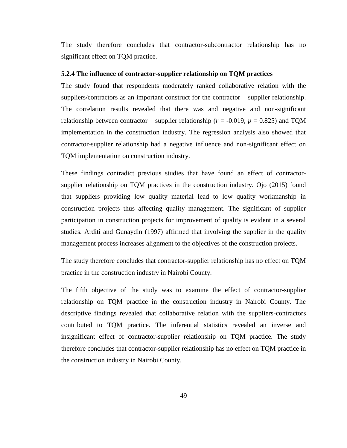The study therefore concludes that contractor-subcontractor relationship has no significant effect on TQM practice.

#### **5.2.4 The influence of contractor-supplier relationship on TQM practices**

The study found that respondents moderately ranked collaborative relation with the suppliers/contractors as an important construct for the contractor – supplier relationship. The correlation results revealed that there was and negative and non-significant relationship between contractor – supplier relationship ( $r = -0.019$ ;  $p = 0.825$ ) and TQM implementation in the construction industry. The regression analysis also showed that contractor-supplier relationship had a negative influence and non-significant effect on TQM implementation on construction industry.

These findings contradict previous studies that have found an effect of contractorsupplier relationship on TQM practices in the construction industry. Ojo (2015) found that suppliers providing low quality material lead to low quality workmanship in construction projects thus affecting quality management. The significant of supplier participation in construction projects for improvement of quality is evident in a several studies. Arditi and Gunaydin (1997) affirmed that involving the supplier in the quality management process increases alignment to the objectives of the construction projects.

The study therefore concludes that contractor-supplier relationship has no effect on TQM practice in the construction industry in Nairobi County.

The fifth objective of the study was to examine the effect of contractor-supplier relationship on TQM practice in the construction industry in Nairobi County. The descriptive findings revealed that collaborative relation with the suppliers-contractors contributed to TQM practice. The inferential statistics revealed an inverse and insignificant effect of contractor-supplier relationship on TQM practice. The study therefore concludes that contractor-supplier relationship has no effect on TQM practice in the construction industry in Nairobi County.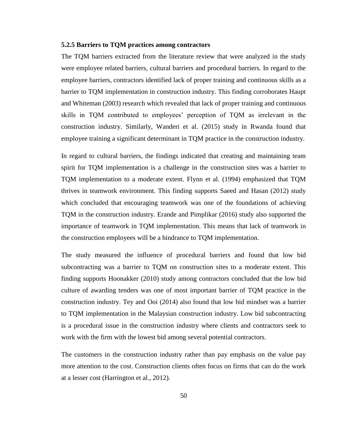#### **5.2.5 Barriers to TQM practices among contractors**

The TQM barriers extracted from the literature review that were analyzed in the study were employee related barriers, cultural barriers and procedural barriers. In regard to the employee barriers, contractors identified lack of proper training and continuous skills as a barrier to TQM implementation in construction industry. This finding corroborates Haupt and Whiteman (2003) research which revealed that lack of proper training and continuous skills in TQM contributed to employees' perception of TQM as irrelevant in the construction industry. Similarly, Wanderi et al. (2015) study in Rwanda found that employee training a significant determinant in TQM practice in the construction industry.

In regard to cultural barriers, the findings indicated that creating and maintaining team spirit for TQM implementation is a challenge in the construction sites was a barrier to TQM implementation to a moderate extent. Flynn et al. (1994) emphasized that TQM thrives in teamwork environment. This finding supports Saeed and Hasan (2012) study which concluded that encouraging teamwork was one of the foundations of achieving TQM in the construction industry. Erande and Pimplikar (2016) study also supported the importance of teamwork in TQM implementation. This means that lack of teamwork in the construction employees will be a hindrance to TQM implementation.

The study measured the influence of procedural barriers and found that low bid subcontracting was a barrier to TQM on construction sites to a moderate extent. This finding supports Hoonakker (2010) study among contractors concluded that the low bid culture of awarding tenders was one of most important barrier of TQM practice in the construction industry. Tey and Ooi (2014) also found that low bid mindset was a barrier to TQM implementation in the Malaysian construction industry. Low bid subcontracting is a procedural issue in the construction industry where clients and contractors seek to work with the firm with the lowest bid among several potential contractors.

The customers in the construction industry rather than pay emphasis on the value pay more attention to the cost. Construction clients often focus on firms that can do the work at a lesser cost (Harrington et al., 2012).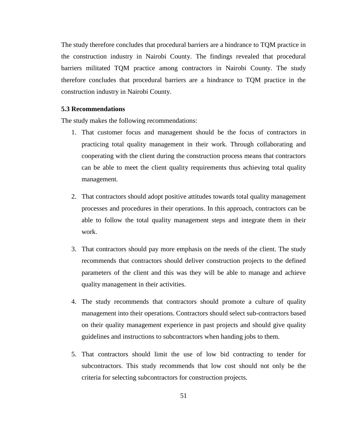The study therefore concludes that procedural barriers are a hindrance to TQM practice in the construction industry in Nairobi County. The findings revealed that procedural barriers militated TQM practice among contractors in Nairobi County. The study therefore concludes that procedural barriers are a hindrance to TQM practice in the construction industry in Nairobi County.

## **5.3 Recommendations**

The study makes the following recommendations:

- 1. That customer focus and management should be the focus of contractors in practicing total quality management in their work. Through collaborating and cooperating with the client during the construction process means that contractors can be able to meet the client quality requirements thus achieving total quality management.
- 2. That contractors should adopt positive attitudes towards total quality management processes and procedures in their operations. In this approach, contractors can be able to follow the total quality management steps and integrate them in their work.
- 3. That contractors should pay more emphasis on the needs of the client. The study recommends that contractors should deliver construction projects to the defined parameters of the client and this was they will be able to manage and achieve quality management in their activities.
- 4. The study recommends that contractors should promote a culture of quality management into their operations. Contractors should select sub-contractors based on their quality management experience in past projects and should give quality guidelines and instructions to subcontractors when handing jobs to them.
- 5. That contractors should limit the use of low bid contracting to tender for subcontractors. This study recommends that low cost should not only be the criteria for selecting subcontractors for construction projects.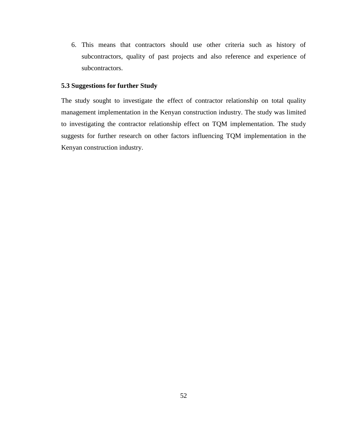6. This means that contractors should use other criteria such as history of subcontractors, quality of past projects and also reference and experience of subcontractors.

## **5.3 Suggestions for further Study**

The study sought to investigate the effect of contractor relationship on total quality management implementation in the Kenyan construction industry. The study was limited to investigating the contractor relationship effect on TQM implementation. The study suggests for further research on other factors influencing TQM implementation in the Kenyan construction industry.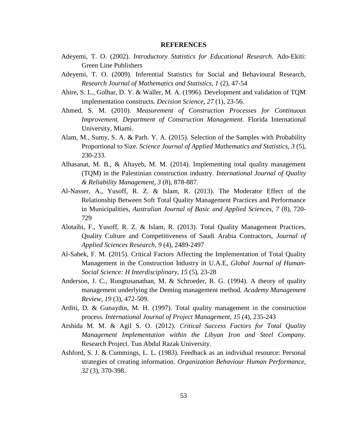#### **REFERENCES**

- Adeyemi, T. O. (2002). *Introductory Statistics for Educational Research.* Ado-Ekiti: Green Line Publishers
- Adeyemi, T. O. (2009). Inferential Statistics for Social and Behavioural Research, *Research Journal of Mathematics and Statistics, 1* (2), 47-54
- Ahire, S. L., Golhar, D. Y. & Waller, M. A. (1996). Development and validation of TQM implementation constructs. *Decision Science, 27* (1), 23-56.
- Ahmed, S. M. (2010). *Measurement of Construction Processes for Continuous Improvement. Department of Construction Management.* Florida International University, Miami.
- Alam, M., Sumy, S. A. & Parh. Y. A. (2015). Selection of the Samples with Probability Proportional to Size. *Science Journal of Applied Mathematics and Statistics, 3* (5), 230-233.
- Alhasanat, M. B., & Altayeb, M. M. (2014). Implementing total quality management (TQM) in the Palestinian construction industry. *International Journal of Quality & Reliability Management*, *3* (8), 878-887.
- Al-Nasser, A., Yusoff, R. Z. & Islam, R. (2013). The Moderator Effect of the Relationship Between Soft Total Quality Management Practices and Performance in Municipalities, *Australian Journal of Basic and Applied Sciences, 7* (8), 720- 729
- Alotaibi, F., Yusoff, R. Z. & Islam, R. (2013). Total Quality Management Practices, Quality Culture and Competitiveness of Saudi Arabia Contractors, *Journal of Applied Sciences Research, 9* (4), 2489-2497
- Al-Sabek, F. M. (2015). Critical Factors Affecting the Implementation of Total Quality Management in the Construction Industry in U.A.E, *Global Journal of Human-Social Science: H Interdisciplinary, 15* (5), 23-28
- Anderson, J. C., Rungtusanathan, M. & Schroeder, R. G. (1994). A theory of quality management underlying the Deming management method. *Academy Management Review, 19* (3), 472-509.
- Arditi, D. & Gunaydin, M. H. (1997). Total quality management in the construction process. *International Journal of Project Management, 15* (4), 235-243
- Arshida M. M. & Agil S. O. (2012). *Critical Success Factors for Total Quality Management Implementation within the Libyan Iron and Steel Company.*  Research Project. Tun Abdul Razak University.
- Ashford, S. J. & Cummings, L. L. (1983). Feedback as an individual resource: Personal strategies of creating information. *Organization Behaviour Human Performance, 32* (3), 370-398.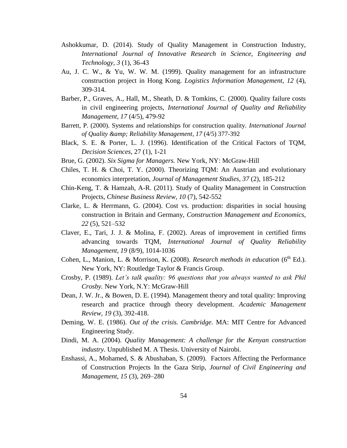- Ashokkumar, D. (2014). Study of Quality Management in Construction Industry, *International Journal of Innovative Research in Science, Engineering and Technology, 3* (1), 36-43
- Au, J. C. W., & Yu, W. W. M. (1999). Quality management for an infrastructure construction project in Hong Kong. *Logistics Information Management, 12* (4), 309-314.
- Barber, P., Graves, A., Hall, M., Sheath, D. & Tomkins, C. (2000). Quality failure costs in civil engineering projects, *International Journal of Quality and Reliability Management, 17* (4/5), 479-92
- Barrett, P. (2000). Systems and relationships for construction quality. *International Journal of Quality & Reliability Management*, *17* (4/5) 377-392
- Black, S. E. & Porter, L. J. (1996). Identification of the Critical Factors of TQM, *Decision Sciences,* 27 (1), 1-21
- Brue, G. (2002). *Six Sigma for Managers.* New York, NY: McGraw-Hill
- Chiles, T. H. & Choi, T. Y. (2000). Theorizing TQM: An Austrian and evolutionary economics interpretation, *Journal of Management Studies, 37* (2), 185-212
- Chin-Keng, T. & Hamzah, A-R. (2011). Study of Quality Management in Construction Projects, *Chinese Business Review, 10* (7), 542-552
- Clarke, L. & Herrmann, G. (2004). Cost vs. production: disparities in social housing construction in Britain and Germany, *Construction Management and Economics, 22* (5), 521–532
- Claver, E., Tari, J. J. & Molina, F. (2002). Areas of improvement in certified firms advancing towards TQM, *International Journal of Quality Reliability Management, 19* (8/9), 1014-1036
- Cohen, L., Manion, L. & Morrison, K. (2008). *Research methods in education* (6<sup>th</sup> Ed.). New York, NY: Routledge Taylor & Francis Group.
- Crosby, P. (1989). *Let's talk quality: 96 questions that you always wanted to ask Phil Crosby.* New York, N.Y: McGraw-Hill
- Dean, J. W. Jr., & Bowen, D. E. (1994). Management theory and total quality: Improving research and practice through theory development. *Academic Management Review, 19* (3), 392-418.
- Deming, W. E. (1986). *Out of the crisis. Cambridge.* MA: MIT Centre for Advanced Engineering Study.
- Dindi, M. A. (2004). *Quality Management: A challenge for the Kenyan construction industry.* Unpublished M. A Thesis. University of Nairobi.
- Enshassi, A., Mohamed, S. & Abushaban, S. (2009). Factors Affecting the Performance of Construction Projects In the Gaza Strip, *Journal of Civil Engineering and Management, 15* (3), 269–280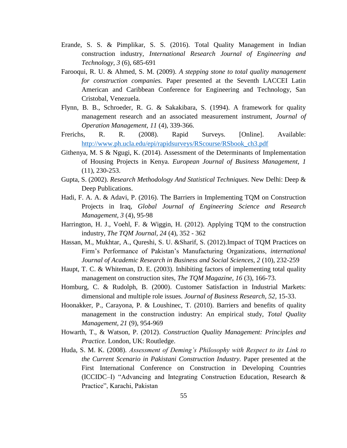- Erande, S. S. & Pimplikar, S. S. (2016). Total Quality Management in Indian construction industry, *International Research Journal of Engineering and Technology, 3* (6), 685-691
- Farooqui, R. U. & Ahmed, S. M. (2009). *A stepping stone to total quality management for construction companies.* Paper presented at the Seventh LACCEI Latin American and Caribbean Conference for Engineering and Technology, San Cristobal, Venezuela.
- Flynn, B. B., Schroeder, R. G. & Sakakibara, S. (1994). A framework for quality management research and an associated measurement instrument, *Journal of Operation Management, 11* (4), 339-366.
- Frerichs, R. R. (2008). Rapid Surveys. [Online]. Available: [http://www.ph.ucla.edu/epi/rapidsurveys/RScourse/RSbook\\_ch3.pdf](http://www.ph.ucla.edu/epi/rapidsurveys/RScourse/RSbook_ch3.pdf)
- Githenya, M. S & Ngugi, K. (2014). Assessment of the Determinants of Implementation of Housing Projects in Kenya. *European Journal of Business Management, 1* (11), 230-253.
- Gupta, S. (2002). *Research Methodology And Statistical Techniques.* New Delhi: Deep & Deep Publications.
- Hadi, F. A. A. & Adavi, P. (2016). The Barriers in Implementing TQM on Construction Projects in Iraq, *Global Journal of Engineering Science and Research Management, 3* (4), 95-98
- Harrington, H. J., Voehl, F. & Wiggin, H. (2012). Applying TQM to the construction industry, *The TQM Journal, 24* (4), 352 - 362
- Hassan, M., Mukhtar, A., Qureshi, S. U. &Sharif, S. (2012).Impact of TQM Practices on Firm's Performance of Pakistan's Manufacturing Organizations, *international Journal of Academic Research in Business and Social Sciences, 2* (10), 232-259
- Haupt, T. C. & Whiteman, D. E. (2003). Inhibiting factors of implementing total quality management on construction sites, *The TQM Magazine, 16* (3), 166-73.
- Homburg, C. & Rudolph, B. (2000). Customer Satisfaction in Industrial Markets: dimensional and multiple role issues. *Journal of Business Research, 52,* 15-33.
- Hoonakker, P., Carayona, P. & Loushinec, T. (2010). Barriers and benefits of quality management in the construction industry: An empirical study, *Total Quality Management, 21* (9), 954-969
- Howarth, T., & Watson, P. (2012). *Construction Quality Management: Principles and Practice.* London, UK: Routledge.
- Huda, S. M. K. (2008). *Assessment of Deming's Philosophy with Respect to its Link to the Current Scenario in Pakistani Construction Industry.* Paper presented at the First International Conference on Construction in Developing Countries (ICCIDC–I) "Advancing and Integrating Construction Education, Research & Practice", Karachi, Pakistan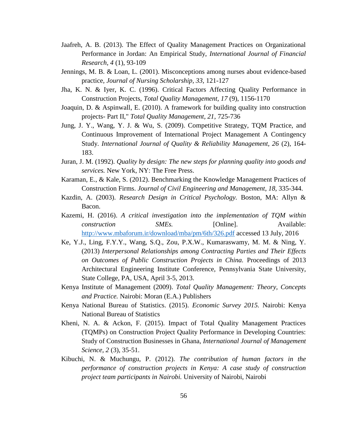- Jaafreh, A. B. (2013). The Effect of Quality Management Practices on Organizational Performance in Jordan: An Empirical Study, *International Journal of Financial Research, 4* (1), 93-109
- Jennings, M. B. & Loan, L. (2001). Misconceptions among nurses about evidence-based practice, *Journal of Nursing Scholarship, 33,* 121-127
- Jha, K. N. & Iyer, K. C. (1996). Critical Factors Affecting Quality Performance in Construction Projects, *Total Quality Management, 17* (9), 1156-1170
- Joaquin, D. & Aspinwall, E. (2010). A framework for building quality into construction projects- Part II," *Total Quality Management, 21,* 725-736
- Jung, J. Y., Wang, Y. J. & Wu, S. (2009). Competitive Strategy, TQM Practice, and Continuous Improvement of International Project Management A Contingency Study. *International Journal of Quality & Reliability Management, 26* (2), 164- 183.
- Juran, J. M. (1992). *Quality by design: The new steps for planning quality into goods and services.* New York, NY: The Free Press.
- Karaman, E., & Kale, S. (2012). Benchmarking the Knowledge Management Practices of Construction Firms. *Journal of Civil Engineering and Management*, *18,* 335-344.
- Kazdin, A. (2003). *Research Design in Critical Psychology.* Boston, MA: Allyn & Bacon.
- Kazemi, H. (2016). *A critical investigation into the implementation of TQM within construction SMEs.* [Online]. Available: <http://www.mbaforum.ir/download/mba/pm/6th/326.pdf> accessed 13 July, 2016
- Ke, Y.J., Ling, F.Y.Y., Wang, S.Q., Zou, P.X.W., Kumaraswamy, M. M. & Ning, Y. (2013) *Interpersonal Relationships among Contracting Parties and Their Effects on Outcomes of Public Construction Projects in China.* Proceedings of 2013 Architectural Engineering Institute Conference, Pennsylvania State University, State College, PA, USA, April 3-5, 2013.
- Kenya Institute of Management (2009). *Total Quality Management: Theory, Concepts and Practice.* Nairobi: Moran (E.A.) Publishers
- Kenya National Bureau of Statistics. (2015). *Economic Survey 2015.* Nairobi: Kenya National Bureau of Statistics
- Kheni, N. A. & Ackon, F. (2015). Impact of Total Quality Management Practices (TQMPs) on Construction Project Quality Performance in Developing Countries: Study of Construction Businesses in Ghana, *International Journal of Management Science, 2* (3), 35-51.
- Kibuchi, N. & Muchungu, P. (2012). *The contribution of human factors in the performance of construction projects in Kenya: A case study of construction project team participants in Nairobi.* University of Nairobi, Nairobi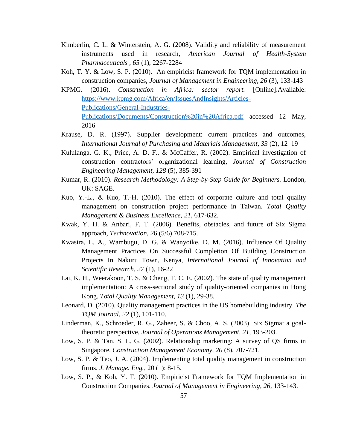- Kimberlin, C. L. & Winterstein, A. G. (2008). Validity and reliability of measurement instruments used in research, *American Journal of Health-System Pharmaceuticals , 65* (1), 2267-2284
- Koh, T. Y. & Low, S. P. (2010). An empiricist framework for TQM implementation in construction companies, *Journal of Management in Engineering, 26* (3), 133-143
- KPMG. (2016). *Construction in Africa: sector report.* [Online].Available: [https://www.kpmg.com/Africa/en/IssuesAndInsights/Articles-](https://www.kpmg.com/Africa/en/IssuesAndInsights/Articles-Publications/General-Industries-Publications/Documents/Construction%20in%20Africa.pdf)[Publications/General-Industries-](https://www.kpmg.com/Africa/en/IssuesAndInsights/Articles-Publications/General-Industries-Publications/Documents/Construction%20in%20Africa.pdf)[Publications/Documents/Construction%20in%20Africa.pdf](https://www.kpmg.com/Africa/en/IssuesAndInsights/Articles-Publications/General-Industries-Publications/Documents/Construction%20in%20Africa.pdf) accessed 12 May, 2016
- Krause, D. R. (1997). Supplier development: current practices and outcomes, *International Journal of Purchasing and Materials Management, 33* (2), 12–19
- Kululanga, G. K., Price, A. D. F., & McCaffer, R. (2002). Empirical investigation of construction contractors' organizational learning, *Journal of Construction Engineering Management, 128* (5), 385-391
- Kumar, R. (2010). *Research Methodology: A Step-by-Step Guide for Beginners.* London, UK: SAGE.
- Kuo, Y.-L., & Kuo, T.-H. (2010). The effect of corporate culture and total quality management on construction project performance in Taiwan. *Total Quality Management & Business Excellence*, *21,* 617-632.
- Kwak, Y. H. & Anbari, F. T. (2006). Benefits, obstacles, and future of Six Sigma approach, *Technovation, 2*6 (5/6) 708-715.
- Kwasira, L. A., Wambugu, D. G. & Wanyoike, D. M. (2016). Influence Of Quality Management Practices On Successful Completion Of Building Construction Projects In Nakuru Town, Kenya, *International Journal of Innovation and Scientific Research, 27* (1), 16-22
- Lai, K. H., Weerakoon, T. S. & Cheng, T. C. E. (2002). The state of quality management implementation: A cross-sectional study of quality-oriented companies in Hong Kong. *Total Quality Management, 13* (1), 29-38.
- Leonard, D. (2010). Quality management practices in the US homebuilding industry. *The TQM Journal*, *22* (1), 101-110.
- Linderman, K., Schroeder, R. G., Zaheer, S. & Choo, A. S. (2003). Six Sigma: a goaltheoretic perspective, *Journal of Operations Management, 21,* 193-203.
- Low, S. P. & Tan, S. L. G. (2002). Relationship marketing: A survey of QS firms in Singapore. *Construction Management Economy, 20* (8), 707-721.
- Low, S. P. & Teo, J. A. (2004). Implementing total quality management in construction firms. *J. Manage. Eng.,* 20 (1): 8-15.
- Low, S. P., & Koh, Y. T. (2010). Empiricist Framework for TQM Implementation in Construction Companies. *Journal of Management in Engineering, 26,* 133-143.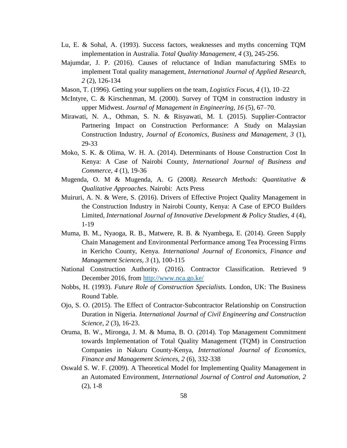- Lu, E. & Sohal, A. (1993). Success factors, weaknesses and myths concerning TQM implementation in Australia. *Total Quality Management, 4* (3), 245-256.
- Majumdar, J. P. (2016). Causes of reluctance of Indian manufacturing SMEs to implement Total quality management, *International Journal of Applied Research, 2* (2), 126-134
- Mason, T. (1996). Getting your suppliers on the team, *Logistics Focus, 4* (1), 10–22
- McIntyre, C. & Kirschenman, M. (2000). Survey of TQM in construction industry in upper Midwest. *Journal of Management in Engineering, 16* (5), 67–70.
- Mirawati, N. A., Othman, S. N. & Risyawati, M. I. (2015). Supplier-Contractor Partnering Impact on Construction Performance: A Study on Malaysian Construction Industry, *Journal of Economics, Business and Management, 3* (1), 29-33
- Moko, S. K. & Olima, W. H. A. (2014). Determinants of House Construction Cost In Kenya: A Case of Nairobi County, *International Journal of Business and Commerce, 4* (1), 19-36
- Mugenda, O. M & Mugenda, A. G (2008*). Research Methods: Quantitative & Qualitative Approaches.* Nairobi: Acts Press
- Muiruri, A. N. & Were, S. (2016). Drivers of Effective Project Quality Management in the Construction Industry in Nairobi County, Kenya: A Case of EPCO Builders Limited, *International Journal of Innovative Development & Policy Studies, 4* (4), 1-19
- Muma, B. M., Nyaoga, R. B., Matwere, R. B. & Nyambega, E. (2014). Green Supply Chain Management and Environmental Performance among Tea Processing Firms in Kericho County, Kenya. *International Journal of Economics, Finance and Management Sciences, 3* (1), 100-115
- National Construction Authority. (2016). Contractor Classification. Retrieved 9 December 2016, from<http://www.nca.go.ke/>
- Nobbs, H. (1993). *Future Role of Construction Specialists.* London, UK: The Business Round Table.
- Ojo, S. O. (2015). The Effect of Contractor-Subcontractor Relationship on Construction Duration in Nigeria. *International Journal of Civil Engineering and Construction Science*, *2* (3), 16-23.
- Oruma, B. W., Mironga, J. M. & Muma, B. O. (2014). Top Management Commitment towards Implementation of Total Quality Management (TQM) in Construction Companies in Nakuru County-Kenya, *International Journal of Economics, Finance and Management Sciences, 2* (6), 332-338
- Oswald S. W. F. (2009). A Theoretical Model for Implementing Quality Management in an Automated Environment, *International Journal of Control and Automation, 2* (2), 1-8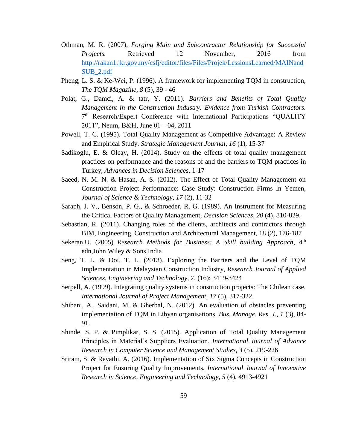- Othman, M. R. (2007), *Forging Main and Subcontractor Relationship for Successful Projects.* Retrieved 12 November, 2016 from [http://rakan1.jkr.gov.my/csfj/editor/files/Files/Projek/LessionsLearned/MAINand](http://rakan1.jkr.gov.my/csfj/editor/files/Files/Projek/LessionsLearned/MAINandSUB_2.pdf) [SUB\\_2.pdf](http://rakan1.jkr.gov.my/csfj/editor/files/Files/Projek/LessionsLearned/MAINandSUB_2.pdf)
- Pheng, L. S. & Ke-Wei, P. (1996). A framework for implementing TQM in construction, *The TQM Magazine, 8* (5), 39 - 46
- Polat, G., Damci, A. & tatr, Y. (2011). *Barriers and Benefits of Total Quality Management in the Construction Industry: Evidence from Turkish Contractors.* 7<sup>th</sup> Research/Expert Conference with International Participations "QUALITY 2011", Neum, B&H, June 01 – 04, 2011
- Powell, T. C. (1995). Total Quality Management as Competitive Advantage: A Review and Empirical Study. *Strategic Management Journal, 16* (1), 15-37
- Sadikoglu, E. & Olcay, H. (2014). Study on the effects of total quality management practices on performance and the reasons of and the barriers to TQM practices in Turkey, *Advances in Decision Sciences,* 1-17
- Saeed, N. M. N. & Hasan, A. S. (2012). The Effect of Total Quality Management on Construction Project Performance: Case Study: Construction Firms In Yemen, *Journal of Science & Technology, 17* (2), 11-32
- Saraph, J. V., Benson, P. G., & Schroeder, R. G. (1989). An Instrument for Measuring the Critical Factors of Quality Management, *Decision Sciences, 20* (4), 810-829.
- Sebastian, R. (2011). Changing roles of the clients, architects and contractors through BIM, Engineering, Construction and Architectural Management, 18 (2), 176-187
- Sekeran, U. (2005) *Research Methods for Business: A Skill building Approach*, 4<sup>th</sup> edn,John Wiley & Sons,India
- Seng, T. L. & Ooi, T. L. (2013). Exploring the Barriers and the Level of TQM Implementation in Malaysian Construction Industry, *Research Journal of Applied Sciences, Engineering and Technology, 7*, (16): 3419-3424
- Serpell, A. (1999). Integrating quality systems in construction projects: The Chilean case. *International Journal of Project Management, 17* (5), 317-322.
- Shibani, A., Saidani, M. & Gherbal, N. (2012). An evaluation of obstacles preventing implementation of TQM in Libyan organisations. *Bus. Manage. Res. J., 1* (3), 84- 91.
- Shinde, S. P. & Pimplikar, S. S. (2015). Application of Total Quality Management Principles in Material's Suppliers Evaluation, *International Journal of Advance Research in Computer Science and Management Studies, 3* (5), 219-226
- Sriram, S. & Revathi, A. (2016). Implementation of Six Sigma Concepts in Construction Project for Ensuring Quality Improvements, *International Journal of Innovative Research in Science, Engineering and Technology, 5* (4), 4913-4921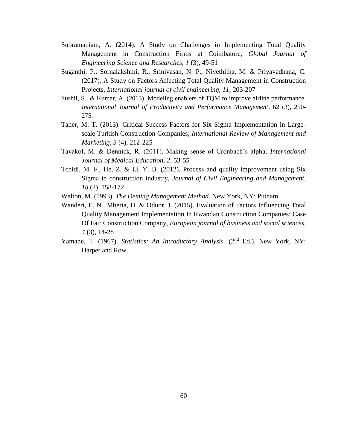- Subramaniam, A. (2014). A Study on Challenges in Implementing Total Quality Management in Construction Firms at Coimbatore, *Global Journal of Engineering Science and Researches, 1* (3), 49-51
- Suganthi, P., Sornalakshmi, R., Srinivasan, N. P., Nivethitha, M. & Priyavadhana, C. (2017). A Study on Factors Affecting Total Quality Management in Construction Projects, *International journal of civil engineering, 11,* 203-207
- Sushil, S., & Kumar, A. (2013). Modeling enablers of TQM to improve airline performance. *International Journal of Productivity and Performance Management*, 62 (3), 250- 275.
- Taner, M. T. (2013). Critical Success Factors for Six Sigma Implementation in Largescale Turkish Construction Companies, *International Review of Management and Marketing, 3* (4), 212-225
- Tavakol, M. & Dennick, R. (2011). Making sense of Cronbach's alpha, *International Journal of Medical Education, 2,* 53-55
- Tchidi, M. F., He, Z. & Li, Y. B.  $(2012)$ . Process and quality improvement using Six Sigma in construction industry, *Journal of Civil Engineering and Management, 18* (2), 158-172
- Walton, M. (1993). *The Deming Management Method.* New York, NY: Putnam
- Wanderi, E. N., Mberia, H. & Oduor, J. (2015). Evaluation of Factors Influencing Total Quality Management Implementation In Rwandan Construction Companies: Case Of Fair Construction Company, *European journal of business and social sciences, 4* (3), 14-28
- Yamane, T. (1967). *Statistics: An Introductory Analysis.* (2<sup>nd</sup> Ed.). New York, NY: Harper and Row.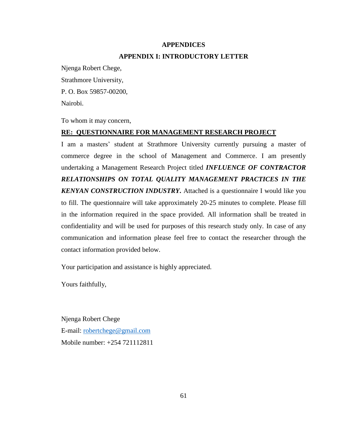# **APPENDICES APPENDIX I: INTRODUCTORY LETTER**

Njenga Robert Chege, Strathmore University, P. O. Box 59857-00200, Nairobi.

To whom it may concern,

# **RE: QUESTIONNAIRE FOR MANAGEMENT RESEARCH PROJECT**

I am a masters' student at Strathmore University currently pursuing a master of commerce degree in the school of Management and Commerce. I am presently undertaking a Management Research Project titled *INFLUENCE OF CONTRACTOR RELATIONSHIPS ON TOTAL QUALITY MANAGEMENT PRACTICES IN THE KENYAN CONSTRUCTION INDUSTRY.* Attached is a questionnaire I would like you to fill. The questionnaire will take approximately 20-25 minutes to complete. Please fill in the information required in the space provided. All information shall be treated in confidentiality and will be used for purposes of this research study only. In case of any communication and information please feel free to contact the researcher through the contact information provided below.

Your participation and assistance is highly appreciated.

Yours faithfully,

Njenga Robert Chege E-mail: [robertchege@gmail.com](mailto:robertchege@gmail.com) Mobile number: +254 721112811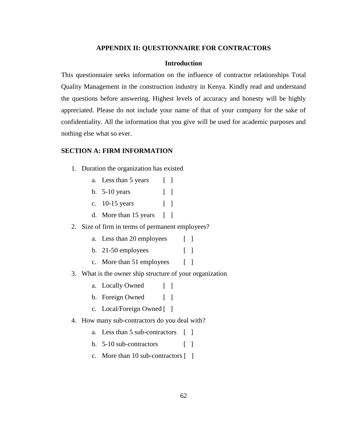#### **APPENDIX II: QUESTIONNAIRE FOR CONTRACTORS**

#### **Introduction**

This questionnaire seeks information on the influence of contractor relationships Total Quality Management in the construction industry in Kenya. Kindly read and understand the questions before answering. Highest levels of accuracy and honesty will be highly appreciated. Please do not include your name of that of your company for the sake of confidentiality. All the information that you give will be used for academic purposes and nothing else what so ever.

#### **SECTION A: FIRM INFORMATION**

- 1. Duration the organization has existed
	- a. Less than 5 years [ ]
	- b. 5-10 years [ ]
	- c. 10-15 years [ ]
	- d. More than 15 years [ ]

### 2. Size of firm in terms of permanent employees?

- a. Less than 20 employees [ ]
- b. 21-50 employees [ ]
- c. More than 51 employees [ ]

### 3. What is the owner ship structure of your organization

- a. Locally Owned [ ]
- b. Foreign Owned [ ]
- c. Local/Foreign Owned [ ]

### 4. How many sub-contractors do you deal with?

- a. Less than 5 sub-contractors [ ]
- b.  $5-10$  sub-contractors  $\begin{bmatrix} \end{bmatrix}$
- c. More than 10 sub-contractors [ ]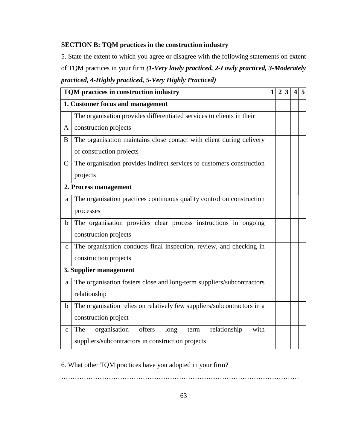### **SECTION B: TQM practices in the construction industry**

5. State the extent to which you agree or disagree with the following statements on extent of TQM practices in your firm *(1-Very lowly practiced, 2-Lowly practiced, 3-Moderately practiced, 4-Highly practiced, 5-Very Highly Practiced)*

| TQM practices in construction industry |                                                                         |  |  | 3 |  | 5 |  |
|----------------------------------------|-------------------------------------------------------------------------|--|--|---|--|---|--|
| 1. Customer focus and management       |                                                                         |  |  |   |  |   |  |
|                                        | The organisation provides differentiated services to clients in their   |  |  |   |  |   |  |
| A                                      | construction projects                                                   |  |  |   |  |   |  |
| B                                      | The organisation maintains close contact with client during delivery    |  |  |   |  |   |  |
|                                        | of construction projects                                                |  |  |   |  |   |  |
| $\mathsf{C}$                           | The organisation provides indirect services to customers construction   |  |  |   |  |   |  |
|                                        | projects                                                                |  |  |   |  |   |  |
| 2. Process management                  |                                                                         |  |  |   |  |   |  |
| a                                      | The organisation practices continuous quality control on construction   |  |  |   |  |   |  |
|                                        | processes                                                               |  |  |   |  |   |  |
| $\mathbf b$                            | The organisation provides clear process instructions in ongoing         |  |  |   |  |   |  |
|                                        | construction projects                                                   |  |  |   |  |   |  |
| $\mathbf{C}$                           | The organisation conducts final inspection, review, and checking in     |  |  |   |  |   |  |
|                                        | construction projects                                                   |  |  |   |  |   |  |
|                                        | 3. Supplier management                                                  |  |  |   |  |   |  |
| a                                      | The organisation fosters close and long-term suppliers/subcontractors   |  |  |   |  |   |  |
|                                        | relationship                                                            |  |  |   |  |   |  |
| b                                      | The organisation relies on relatively few suppliers/subcontractors in a |  |  |   |  |   |  |
|                                        | construction project                                                    |  |  |   |  |   |  |
| $\mathbf{C}$                           | organisation<br>offers long<br>term relationship<br>with<br>The         |  |  |   |  |   |  |
|                                        | suppliers/subcontractors in construction projects                       |  |  |   |  |   |  |

### 6. What other TQM practices have you adopted in your firm?

……………………………………………………………………………………………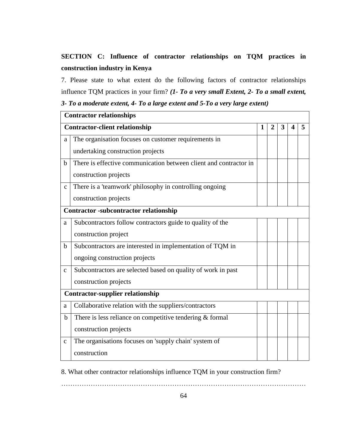## **SECTION C: Influence of contractor relationships on TQM practices in construction industry in Kenya**

7. Please state to what extent do the following factors of contractor relationships influence TQM practices in your firm? *(1- To a very small Extent, 2- To a small extent,* 

*3- To a moderate extent, 4- To a large extent and 5-To a very large extent)*

| <b>Contractor relationships</b>         |                                                                   |   |              |   |   |   |  |
|-----------------------------------------|-------------------------------------------------------------------|---|--------------|---|---|---|--|
| <b>Contractor-client relationship</b>   |                                                                   | 1 | $\mathbf{2}$ | 3 | 4 | 5 |  |
| a                                       | The organisation focuses on customer requirements in              |   |              |   |   |   |  |
|                                         | undertaking construction projects                                 |   |              |   |   |   |  |
| b                                       | There is effective communication between client and contractor in |   |              |   |   |   |  |
|                                         | construction projects                                             |   |              |   |   |   |  |
| $\mathbf{C}$                            | There is a 'teamwork' philosophy in controlling ongoing           |   |              |   |   |   |  |
|                                         | construction projects                                             |   |              |   |   |   |  |
|                                         | <b>Contractor -subcontractor relationship</b>                     |   |              |   |   |   |  |
| a                                       | Subcontractors follow contractors guide to quality of the         |   |              |   |   |   |  |
|                                         | construction project                                              |   |              |   |   |   |  |
| b                                       | Subcontractors are interested in implementation of TQM in         |   |              |   |   |   |  |
|                                         | ongoing construction projects                                     |   |              |   |   |   |  |
| $\mathbf{C}$                            | Subcontractors are selected based on quality of work in past      |   |              |   |   |   |  |
|                                         | construction projects                                             |   |              |   |   |   |  |
| <b>Contractor-supplier relationship</b> |                                                                   |   |              |   |   |   |  |
| a                                       | Collaborative relation with the suppliers/contractors             |   |              |   |   |   |  |
| b                                       | There is less reliance on competitive tendering $&$ formal        |   |              |   |   |   |  |
|                                         | construction projects                                             |   |              |   |   |   |  |
| $\mathbf{C}$                            | The organisations focuses on 'supply chain' system of             |   |              |   |   |   |  |
|                                         | construction                                                      |   |              |   |   |   |  |

8. What other contractor relationships influence TQM in your construction firm?

………………………………………………………………………………………………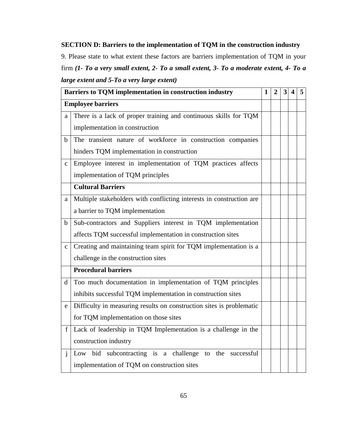### **SECTION D: Barriers to the implementation of TQM in the construction industry**

9. Please state to what extent these factors are barriers implementation of TQM in your firm *(1- To a very small extent, 2- To a small extent, 3- To a moderate extent, 4- To a large extent and 5-To a very large extent)*

| Barriers to TQM implementation in construction industry |                                                                      |  | 2 | 3 | $\boldsymbol{4}$ | 5 |
|---------------------------------------------------------|----------------------------------------------------------------------|--|---|---|------------------|---|
| <b>Employee barriers</b>                                |                                                                      |  |   |   |                  |   |
| a                                                       | There is a lack of proper training and continuous skills for TQM     |  |   |   |                  |   |
|                                                         | implementation in construction                                       |  |   |   |                  |   |
| $\mathbf b$                                             | The transient nature of workforce in construction companies          |  |   |   |                  |   |
|                                                         | hinders TQM implementation in construction                           |  |   |   |                  |   |
| $\mathbf c$                                             | Employee interest in implementation of TQM practices affects         |  |   |   |                  |   |
|                                                         | implementation of TQM principles                                     |  |   |   |                  |   |
|                                                         | <b>Cultural Barriers</b>                                             |  |   |   |                  |   |
| a                                                       | Multiple stakeholders with conflicting interests in construction are |  |   |   |                  |   |
|                                                         | a barrier to TQM implementation                                      |  |   |   |                  |   |
| b                                                       | Sub-contractors and Suppliers interest in TQM implementation         |  |   |   |                  |   |
|                                                         | affects TQM successful implementation in construction sites          |  |   |   |                  |   |
| $\mathbf{C}$                                            | Creating and maintaining team spirit for TQM implementation is a     |  |   |   |                  |   |
|                                                         | challenge in the construction sites                                  |  |   |   |                  |   |
|                                                         | <b>Procedural barriers</b>                                           |  |   |   |                  |   |
| d                                                       | Too much documentation in implementation of TQM principles           |  |   |   |                  |   |
|                                                         | inhibits successful TQM implementation in construction sites         |  |   |   |                  |   |
| e                                                       | Difficulty in measuring results on construction sites is problematic |  |   |   |                  |   |
|                                                         | for TQM implementation on those sites                                |  |   |   |                  |   |
|                                                         | f   Lack of leadership in TQM Implementation is a challenge in the   |  |   |   |                  |   |
|                                                         | construction industry                                                |  |   |   |                  |   |
| j                                                       | Low bid subcontracting is a challenge to<br>the successful           |  |   |   |                  |   |
|                                                         | implementation of TQM on construction sites                          |  |   |   |                  |   |